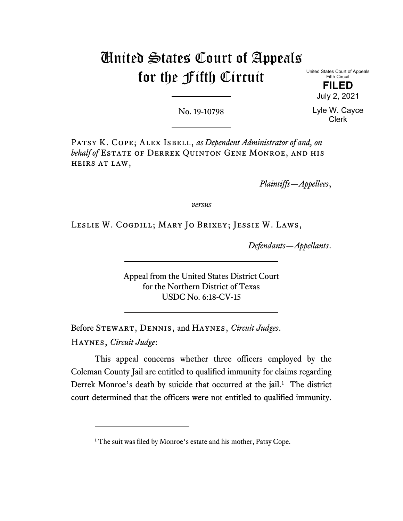# United States Court of Appeals for the Fifth Circuit

United States Court of Appeals Fifth Circuit **FILED**

July 2, 2021

No. 19-10798

Lyle W. Cayce Clerk

PATSY K. COPE; ALEX ISBELL, as Dependent Administrator of and, on *behalf of* Estate of Derrek Quinton Gene Monroe, and his heirs at law,

*Plaintiffs—Appellees*,

*versus*

Leslie W. Cogdill; Mary Jo Brixey; Jessie W. Laws,

*Defendants—Appellants*.

Appeal from the United States District Court for the Northern District of Texas USDC No. 6:18-CV-15

Before Stewart, Dennis, and Haynes, *Circuit Judges*. Haynes, *Circuit Judge*:

This appeal concerns whether three officers employed by the Coleman County Jail are entitled to qualified immunity for claims regarding Derrek Monroe's death by suicide that occurred at the jail.<sup>[1](#page-0-0)</sup> The district court determined that the officers were not entitled to qualified immunity.

<span id="page-0-0"></span><sup>&</sup>lt;sup>1</sup> The suit was filed by Monroe's estate and his mother, Patsy Cope.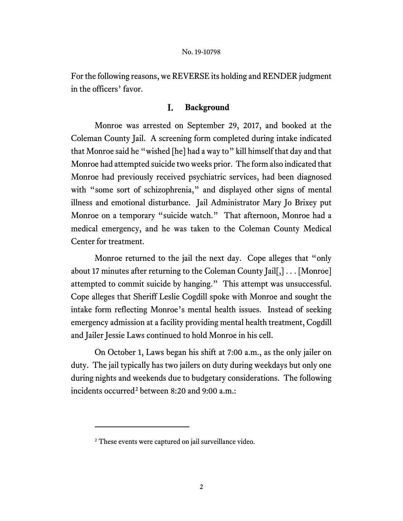For the following reasons, we REVERSE its holding and RENDER judgment in the officers' favor.

#### I. **Background**

Monroe was arrested on September 29, 2017, and booked at the Coleman County Jail. A screening form completed during intake indicated that Monroe said he "wished [he] had a way to" kill himself that day and that Monroe had attempted suicide two weeks prior. The form also indicated that Monroe had previously received psychiatric services, had been diagnosed with "some sort of schizophrenia," and displayed other signs of mental illness and emotional disturbance. Jail Administrator Mary Jo Brixey put Monroe on a temporary "suicide watch." That afternoon, Monroe had a medical emergency, and he was taken to the Coleman County Medical Center for treatment.

Monroe returned to the jail the next day. Cope alleges that "only about 17 minutes after returning to the Coleman County Jail[,] . . . [Monroe] attempted to commit suicide by hanging." This attempt was unsuccessful. Cope alleges that Sheriff Leslie Cogdill spoke with Monroe and sought the intake form reflecting Monroe's mental health issues. Instead of seeking emergency admission at a facility providing mental health treatment, Cogdill and Jailer Jessie Laws continued to hold Monroe in his cell.

On October 1, Laws began his shift at 7:00 a.m., as the only jailer on duty. The jail typically has two jailers on duty during weekdays but only one during nights and weekends due to budgetary considerations. The following incidents occurred<sup>[2](#page-1-0)</sup> between 8:20 and 9:00 a.m.:

<span id="page-1-0"></span><sup>&</sup>lt;sup>2</sup> These events were captured on jail surveillance video.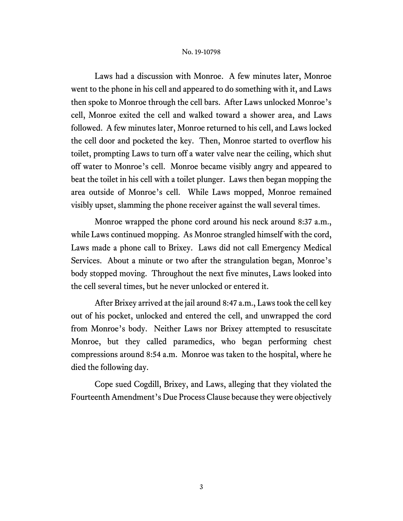Laws had a discussion with Monroe. A few minutes later, Monroe went to the phone in his cell and appeared to do something with it, and Laws then spoke to Monroe through the cell bars. After Laws unlocked Monroe's cell, Monroe exited the cell and walked toward a shower area, and Laws followed. A few minutes later, Monroe returned to his cell, and Laws locked the cell door and pocketed the key. Then, Monroe started to overflow his toilet, prompting Laws to turn off a water valve near the ceiling, which shut off water to Monroe's cell. Monroe became visibly angry and appeared to beat the toilet in his cell with a toilet plunger. Laws then began mopping the area outside of Monroe's cell. While Laws mopped, Monroe remained visibly upset, slamming the phone receiver against the wall several times.

Monroe wrapped the phone cord around his neck around 8:37 a.m., while Laws continued mopping. As Monroe strangled himself with the cord, Laws made a phone call to Brixey. Laws did not call Emergency Medical Services. About a minute or two after the strangulation began, Monroe's body stopped moving. Throughout the next five minutes, Laws looked into the cell several times, but he never unlocked or entered it.

After Brixey arrived at the jail around 8:47 a.m., Laws took the cell key out of his pocket, unlocked and entered the cell, and unwrapped the cord from Monroe's body. Neither Laws nor Brixey attempted to resuscitate Monroe, but they called paramedics, who began performing chest compressions around 8:54 a.m. Monroe was taken to the hospital, where he died the following day.

Cope sued Cogdill, Brixey, and Laws, alleging that they violated the Fourteenth Amendment's Due Process Clause because they were objectively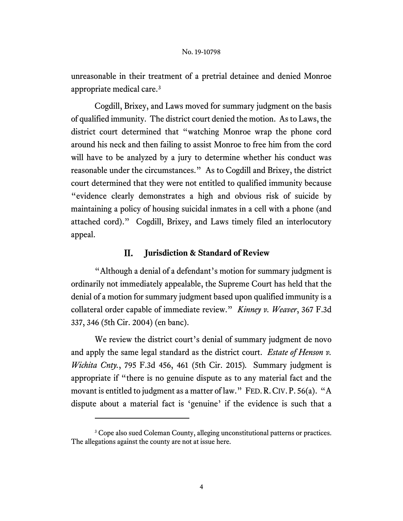unreasonable in their treatment of a pretrial detainee and denied Monroe appropriate medical care.[3](#page-3-0)

Cogdill, Brixey, and Laws moved for summary judgment on the basis of qualified immunity. The district court denied the motion. As to Laws, the district court determined that "watching Monroe wrap the phone cord around his neck and then failing to assist Monroe to free him from the cord will have to be analyzed by a jury to determine whether his conduct was reasonable under the circumstances." As to Cogdill and Brixey, the district court determined that they were not entitled to qualified immunity because "evidence clearly demonstrates a high and obvious risk of suicide by maintaining a policy of housing suicidal inmates in a cell with a phone (and attached cord)." Cogdill, Brixey, and Laws timely filed an interlocutory appeal.

#### II. **Jurisdiction & Standard of Review**

"Although a denial of a defendant's motion for summary judgment is ordinarily not immediately appealable, the Supreme Court has held that the denial of a motion for summary judgment based upon qualified immunity is a collateral order capable of immediate review." *Kinney v. Weaver*, 367 F.3d 337, 346 (5th Cir. 2004) (en banc).

We review the district court's denial of summary judgment de novo and apply the same legal standard as the district court. *Estate of Henson v. Wichita Cnty.*, 795 F.3d 456, 461 (5th Cir. 2015)*.* Summary judgment is appropriate if "there is no genuine dispute as to any material fact and the movant is entitled to judgment as a matter of law." FED. R. CIV. P. 56(a). "A dispute about a material fact is 'genuine' if the evidence is such that a

<span id="page-3-0"></span><sup>&</sup>lt;sup>3</sup> Cope also sued Coleman County, alleging unconstitutional patterns or practices. The allegations against the county are not at issue here.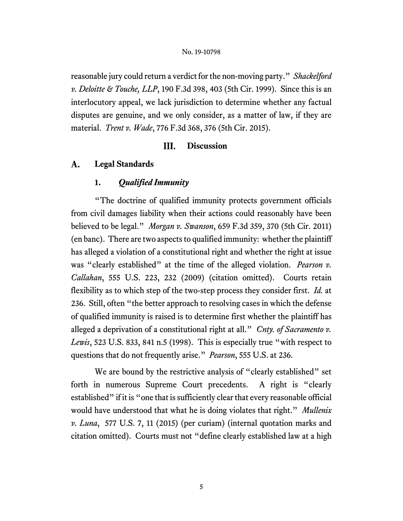reasonable jury could return a verdict for the non-moving party." *Shackelford v. Deloitte & Touche, LLP*, 190 F.3d 398, 403 (5th Cir. 1999). Since this is an interlocutory appeal, we lack jurisdiction to determine whether any factual disputes are genuine, and we only consider, as a matter of law, if they are material. *Trent v. Wade*, 776 F.3d 368, 376 (5th Cir. 2015).

#### III. **Discussion**

#### **Legal Standards**   $A_{\cdot}$

# **1.** *Qualified Immunity*

"The doctrine of qualified immunity protects government officials from civil damages liability when their actions could reasonably have been believed to be legal." *Morgan v. Swanson*, 659 F.3d 359, 370 (5th Cir. 2011) (en banc). There are two aspects to qualified immunity: whether the plaintiff has alleged a violation of a constitutional right and whether the right at issue was "clearly established" at the time of the alleged violation. *Pearson v. Callahan*, 555 U.S. 223, 232 (2009) (citation omitted). Courts retain flexibility as to which step of the two-step process they consider first. *Id.* at 236. Still, often "the better approach to resolving cases in which the defense of qualified immunity is raised is to determine first whether the plaintiff has alleged a deprivation of a constitutional right at all." *Cnty. of Sacramento v. Lewis*, 523 U.S. 833, 841 n.5 (1998). This is especially true "with respect to questions that do not frequently arise." *Pearson*, 555 U.S. at 236.

We are bound by the restrictive analysis of "clearly established" set forth in numerous Supreme Court precedents. A right is "clearly established" if it is "one that is sufficiently clear that every reasonable official would have understood that what he is doing violates that right." *Mullenix v. Luna*, 577 U.S. 7, 11 (2015) (per curiam) (internal quotation marks and citation omitted). Courts must not "define clearly established law at a high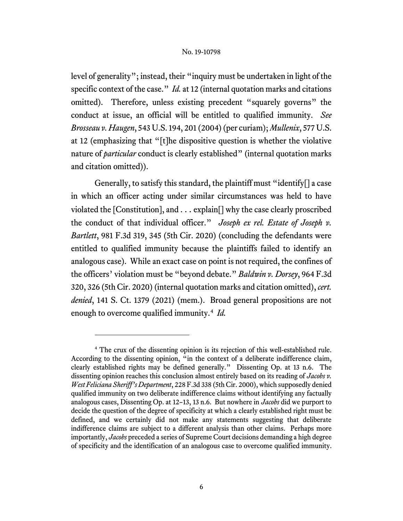level of generality"; instead, their "inquiry must be undertaken in light of the specific context of the case." *Id.* at 12 (internal quotation marks and citations omitted). Therefore, unless existing precedent "squarely governs" the conduct at issue, an official will be entitled to qualified immunity. *See Brosseau v. Haugen*, 543 U.S. 194, 201 (2004)(per curiam); *Mullenix*, 577 U.S. at 12 (emphasizing that "[t]he dispositive question is whether the violative nature of *particular* conduct is clearly established" (internal quotation marks and citation omitted)).

Generally, to satisfy this standard, the plaintiff must "identify[] a case in which an officer acting under similar circumstances was held to have violated the [Constitution], and . . . explain[] why the case clearly proscribed the conduct of that individual officer." *Joseph ex rel. Estate of Joseph v. Bartlett*, 981 F.3d 319, 345 (5th Cir. 2020) (concluding the defendants were entitled to qualified immunity because the plaintiffs failed to identify an analogous case). While an exact case on point is not required, the confines of the officers' violation must be "beyond debate." *Baldwin v. Dorsey*, 964 F.3d 320, 326 (5th Cir. 2020) (internal quotation marks and citation omitted), *cert. denied*, 141 S. Ct. 1379 (2021) (mem.). Broad general propositions are not enough to overcome qualified immunity.[4](#page-5-0) *Id.*

<span id="page-5-0"></span><sup>4</sup> The crux of the dissenting opinion is its rejection of this well-established rule. According to the dissenting opinion, "in the context of a deliberate indifference claim, clearly established rights may be defined generally." Dissenting Op. at 13 n.6. The dissenting opinion reaches this conclusion almost entirely based on its reading of *Jacobs v. West Feliciana Sheriff's Department*, 228 F.3d 338 (5th Cir. 2000), which supposedly denied qualified immunity on two deliberate indifference claims without identifying any factually analogous cases, Dissenting Op. at 12–13, 13 n.6. But nowhere in *Jacobs* did we purport to decide the question of the degree of specificity at which a clearly established right must be defined, and we certainly did not make any statements suggesting that deliberate indifference claims are subject to a different analysis than other claims. Perhaps more importantly, *Jacobs* preceded a series of Supreme Court decisions demanding a high degree of specificity and the identification of an analogous case to overcome qualified immunity.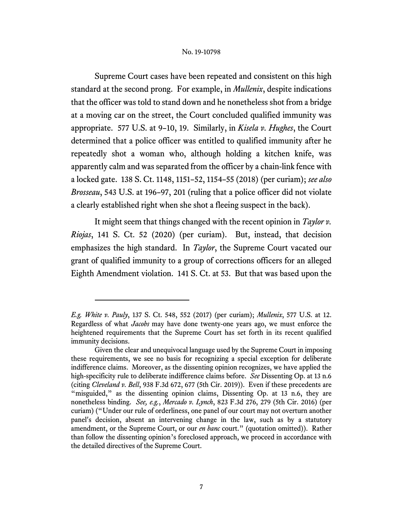Supreme Court cases have been repeated and consistent on this high standard at the second prong. For example, in *Mullenix*, despite indications that the officer was told to stand down and he nonetheless shot from a bridge at a moving car on the street, the Court concluded qualified immunity was appropriate. 577 U.S. at 9–10, 19. Similarly, in *Kisela v. Hughes*, the Court determined that a police officer was entitled to qualified immunity after he repeatedly shot a woman who, although holding a kitchen knife, was apparently calm and was separated from the officer by a chain-link fence with a locked gate. 138 S. Ct. 1148, 1151–52, 1154–55 (2018) (per curiam); *see also Brosseau*, 543 U.S. at 196–97, 201 (ruling that a police officer did not violate a clearly established right when she shot a fleeing suspect in the back).

It might seem that things changed with the recent opinion in *Taylor v. Riojas*, 141 S. Ct. 52 (2020) (per curiam). But, instead, that decision emphasizes the high standard. In *Taylor*, the Supreme Court vacated our grant of qualified immunity to a group of corrections officers for an alleged Eighth Amendment violation. 141 S. Ct. at 53. But that was based upon the

*E.g. White v. Pauly*, 137 S. Ct. 548, 552 (2017) (per curiam); *Mullenix*, 577 U.S. at 12. Regardless of what *Jacobs* may have done twenty-one years ago, we must enforce the heightened requirements that the Supreme Court has set forth in its recent qualified immunity decisions.

Given the clear and unequivocal language used by the Supreme Court in imposing these requirements, we see no basis for recognizing a special exception for deliberate indifference claims. Moreover, as the dissenting opinion recognizes, we have applied the high-specificity rule to deliberate indifference claims before. *See* Dissenting Op. at 13 n.6 (citing *Cleveland v. Bell*, 938 F.3d 672, 677 (5th Cir. 2019)). Even if these precedents are "misguided," as the dissenting opinion claims, Dissenting Op. at 13 n.6, they are nonetheless binding. *See, e.g.*, *Mercado v. Lynch*, 823 F.3d 276, 279 (5th Cir. 2016) (per curiam) ("Under our rule of orderliness, one panel of our court may not overturn another panel's decision, absent an intervening change in the law, such as by a statutory amendment, or the Supreme Court, or our *en banc* court." (quotation omitted)). Rather than follow the dissenting opinion's foreclosed approach, we proceed in accordance with the detailed directives of the Supreme Court.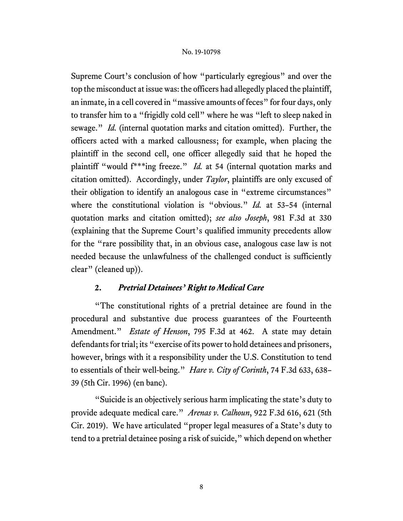Supreme Court's conclusion of how "particularly egregious" and over the top the misconduct at issue was: the officers had allegedly placed the plaintiff, an inmate, in a cell covered in "massive amounts of feces" for four days, only to transfer him to a "frigidly cold cell" where he was "left to sleep naked in sewage." *Id.* (internal quotation marks and citation omitted). Further, the officers acted with a marked callousness; for example, when placing the plaintiff in the second cell, one officer allegedly said that he hoped the plaintiff "would f\*\*\*ing freeze." *Id.* at 54 (internal quotation marks and citation omitted). Accordingly, under *Taylor*, plaintiffs are only excused of their obligation to identify an analogous case in "extreme circumstances" where the constitutional violation is "obvious." *Id.* at 53–54 (internal quotation marks and citation omitted); *see also Joseph*, 981 F.3d at 330 (explaining that the Supreme Court's qualified immunity precedents allow for the "rare possibility that, in an obvious case, analogous case law is not needed because the unlawfulness of the challenged conduct is sufficiently clear" (cleaned up)).

# **2.** *Pretrial Detainees' Right to Medical Care*

"The constitutional rights of a pretrial detainee are found in the procedural and substantive due process guarantees of the Fourteenth Amendment." *Estate of Henson*, 795 F.3d at 462. A state may detain defendants for trial; its "exercise of its power to hold detainees and prisoners, however, brings with it a responsibility under the U.S. Constitution to tend to essentials of their well-being." *Hare v. City of Corinth*, 74 F.3d 633, 638– 39 (5th Cir. 1996) (en banc).

"Suicide is an objectively serious harm implicating the state's duty to provide adequate medical care." *Arenas v. Calhoun*, 922 F.3d 616, 621 (5th Cir. 2019). We have articulated "proper legal measures of a State's duty to tend to a pretrial detainee posing a risk of suicide," which depend on whether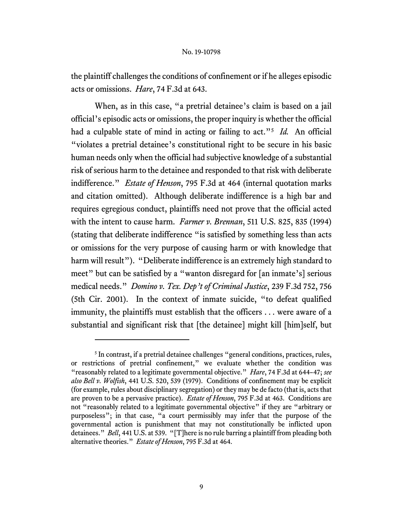the plaintiff challenges the conditions of confinement or if he alleges episodic acts or omissions. *Hare*, 74 F.3d at 643.

When, as in this case, "a pretrial detainee's claim is based on a jail official's episodic acts or omissions, the proper inquiry is whether the official had a culpable state of mind in acting or failing to act."[5](#page-8-0) *Id.* An official "violates a pretrial detainee's constitutional right to be secure in his basic human needs only when the official had subjective knowledge of a substantial risk of serious harm to the detainee and responded to that risk with deliberate indifference." *Estate of Henson*, 795 F.3d at 464 (internal quotation marks and citation omitted). Although deliberate indifference is a high bar and requires egregious conduct, plaintiffs need not prove that the official acted with the intent to cause harm. *Farmer v. Brennan*, 511 U.S. 825, 835 (1994) (stating that deliberate indifference "is satisfied by something less than acts or omissions for the very purpose of causing harm or with knowledge that harm will result"). "Deliberate indifference is an extremely high standard to meet" but can be satisfied by a "wanton disregard for [an inmate's] serious medical needs." *Domino v. Tex. Dep't of Criminal Justice*, 239 F.3d 752, 756 (5th Cir. 2001). In the context of inmate suicide, "to defeat qualified immunity, the plaintiffs must establish that the officers . . . were aware of a substantial and significant risk that [the detainee] might kill [him]self, but

<span id="page-8-0"></span><sup>&</sup>lt;sup>5</sup> In contrast, if a pretrial detainee challenges "general conditions, practices, rules, or restrictions of pretrial confinement," we evaluate whether the condition was "reasonably related to a legitimate governmental objective." *Hare*, 74 F.3d at 644–47; *see also Bell v. Wolfish*, 441 U.S. 520, 539 (1979). Conditions of confinement may be explicit (for example, rules about disciplinary segregation) or they may be de facto (that is, acts that are proven to be a pervasive practice). *Estate of Henson*, 795 F.3d at 463. Conditions are not "reasonably related to a legitimate governmental objective" if they are "arbitrary or purposeless"; in that case, "a court permissibly may infer that the purpose of the governmental action is punishment that may not constitutionally be inflicted upon detainees." *Bell*, 441 U.S. at 539. "[T]here is no rule barring a plaintiff from pleading both alternative theories." *Estate of Henson*, 795 F.3d at 464.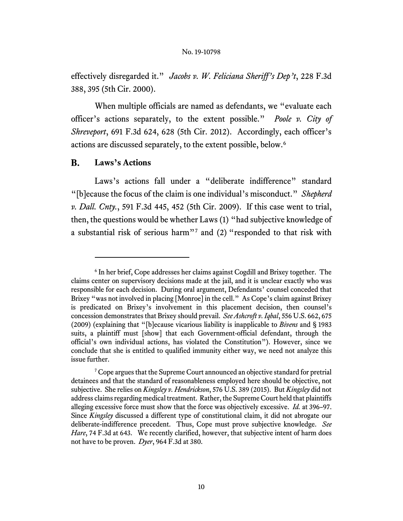effectively disregarded it." *Jacobs v. W. Feliciana Sheriff's Dep't*, 228 F.3d 388, 395 (5th Cir. 2000).

When multiple officials are named as defendants, we "evaluate each officer's actions separately, to the extent possible." *Poole v. City of Shreveport*, 691 F.3d 624, 628 (5th Cir. 2012). Accordingly, each officer's actions are discussed separately, to the extent possible, below.[6](#page-9-0)

#### **B. Laws's Actions**

Laws's actions fall under a "deliberate indifference" standard "[b]ecause the focus of the claim is one individual's misconduct." *Shepherd v. Dall. Cnty.*, 591 F.3d 445, 452 (5th Cir. 2009). If this case went to trial, then, the questions would be whether Laws (1) "had subjective knowledge of a substantial risk of serious harm"[7](#page-9-1) and (2) "responded to that risk with

<span id="page-9-0"></span><sup>6</sup> In her brief, Cope addresses her claims against Cogdill and Brixey together. The claims center on supervisory decisions made at the jail, and it is unclear exactly who was responsible for each decision. During oral argument, Defendants' counsel conceded that Brixey "was not involved in placing [Monroe] in the cell." As Cope's claim against Brixey is predicated on Brixey's involvement in this placement decision, then counsel's concession demonstrates that Brixey should prevail. *See Ashcroft v. Iqbal*, 556 U.S. 662, 675 (2009) (explaining that "[b]ecause vicarious liability is inapplicable to *Bivens* and § 1983 suits, a plaintiff must [show] that each Government-official defendant, through the official's own individual actions, has violated the Constitution"). However, since we conclude that she is entitled to qualified immunity either way, we need not analyze this issue further.

<span id="page-9-1"></span><sup>&</sup>lt;sup>7</sup> Cope argues that the Supreme Court announced an objective standard for pretrial detainees and that the standard of reasonableness employed here should be objective, not subjective. She relies on *Kingsley v. Hendrickson*, 576 U.S. 389 (2015). But *Kingsley* did not address claims regarding medical treatment. Rather, the Supreme Court held that plaintiffs alleging excessive force must show that the force was objectively excessive. *Id.* at 396–97. Since *Kingsley* discussed a different type of constitutional claim, it did not abrogate our deliberate-indifference precedent. Thus, Cope must prove subjective knowledge. *See*  Hare, 74 F.3d at 643. We recently clarified, however, that subjective intent of harm does not have to be proven. *Dyer*, 964 F.3d at 380.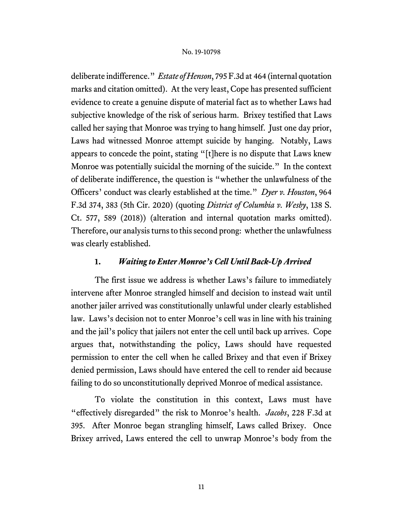deliberate indifference." *Estate of Henson*, 795 F.3d at 464 (internal quotation marks and citation omitted). At the very least, Cope has presented sufficient evidence to create a genuine dispute of material fact as to whether Laws had subjective knowledge of the risk of serious harm. Brixey testified that Laws called her saying that Monroe was trying to hang himself. Just one day prior, Laws had witnessed Monroe attempt suicide by hanging. Notably, Laws appears to concede the point, stating "[t]here is no dispute that Laws knew Monroe was potentially suicidal the morning of the suicide." In the context of deliberate indifference, the question is "whether the unlawfulness of the Officers' conduct was clearly established at the time." *Dyer v. Houston*, 964 F.3d 374, 383 (5th Cir. 2020) (quoting *District of Columbia v. Wesby*, 138 S. Ct. 577, 589 (2018)) (alteration and internal quotation marks omitted). Therefore, our analysis turns to this second prong: whether the unlawfulness was clearly established.

## **1.** *Waiting to Enter Monroe's Cell Until Back-Up Arrived*

The first issue we address is whether Laws's failure to immediately intervene after Monroe strangled himself and decision to instead wait until another jailer arrived was constitutionally unlawful under clearly established law. Laws's decision not to enter Monroe's cell was in line with his training and the jail's policy that jailers not enter the cell until back up arrives. Cope argues that, notwithstanding the policy, Laws should have requested permission to enter the cell when he called Brixey and that even if Brixey denied permission, Laws should have entered the cell to render aid because failing to do so unconstitutionally deprived Monroe of medical assistance.

To violate the constitution in this context, Laws must have "effectively disregarded" the risk to Monroe's health. *Jacobs*, 228 F.3d at 395. After Monroe began strangling himself, Laws called Brixey. Once Brixey arrived, Laws entered the cell to unwrap Monroe's body from the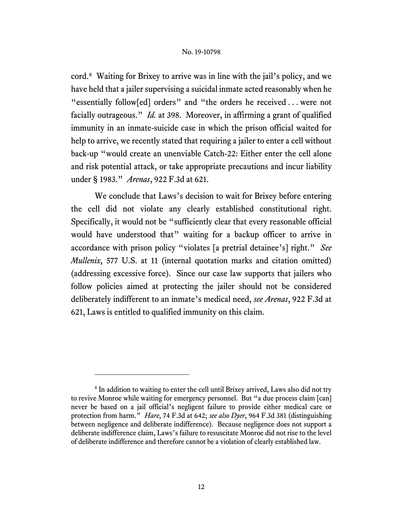cord.[8](#page-11-0) Waiting for Brixey to arrive was in line with the jail's policy, and we have held that a jailer supervising a suicidal inmate acted reasonably when he "essentially follow[ed] orders" and "the orders he received . . . were not facially outrageous." *Id.* at 398. Moreover, in affirming a grant of qualified immunity in an inmate-suicide case in which the prison official waited for help to arrive, we recently stated that requiring a jailer to enter a cell without back-up "would create an unenviable Catch-22: Either enter the cell alone and risk potential attack, or take appropriate precautions and incur liability under § 1983." *Arenas*, 922 F.3d at 621.

We conclude that Laws's decision to wait for Brixey before entering the cell did not violate any clearly established constitutional right. Specifically, it would not be "sufficiently clear that every reasonable official would have understood that" waiting for a backup officer to arrive in accordance with prison policy "violates [a pretrial detainee's] right." *See Mullenix*, 577 U.S. at 11 (internal quotation marks and citation omitted) (addressing excessive force). Since our case law supports that jailers who follow policies aimed at protecting the jailer should not be considered deliberately indifferent to an inmate's medical need, *see Arenas*, 922 F.3d at 621, Laws is entitled to qualified immunity on this claim.

<span id="page-11-0"></span><sup>&</sup>lt;sup>8</sup> In addition to waiting to enter the cell until Brixey arrived, Laws also did not try to revive Monroe while waiting for emergency personnel. But "a due process claim [can] never be based on a jail official's negligent failure to provide either medical care or protection from harm." *Hare*, 74 F.3d at 642; *see also Dyer*, 964 F.3d 381 (distinguishing between negligence and deliberate indifference). Because negligence does not support a deliberate indifference claim, Laws's failure to resuscitate Monroe did not rise to the level of deliberate indifference and therefore cannot be a violation of clearly established law.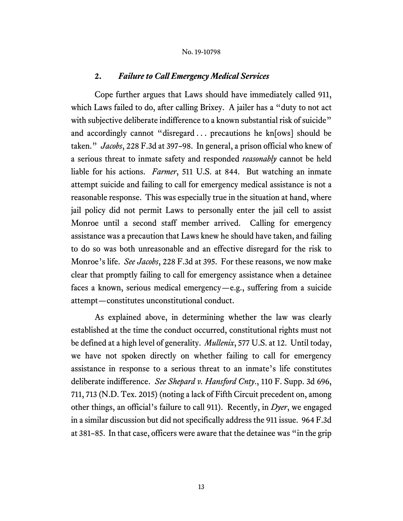# **2.** *Failure to Call Emergency Medical Services*

Cope further argues that Laws should have immediately called 911, which Laws failed to do, after calling Brixey. A jailer has a "duty to not act with subjective deliberate indifference to a known substantial risk of suicide" and accordingly cannot "disregard . . . precautions he kn[ows] should be taken." *Jacobs*, 228 F.3d at 397–98. In general, a prison official who knew of a serious threat to inmate safety and responded *reasonably* cannot be held liable for his actions. *Farmer*, 511 U.S. at 844. But watching an inmate attempt suicide and failing to call for emergency medical assistance is not a reasonable response. This was especially true in the situation at hand, where jail policy did not permit Laws to personally enter the jail cell to assist Monroe until a second staff member arrived. Calling for emergency assistance was a precaution that Laws knew he should have taken, and failing to do so was both unreasonable and an effective disregard for the risk to Monroe's life. *See Jacobs*, 228 F.3d at 395. For these reasons, we now make clear that promptly failing to call for emergency assistance when a detainee faces a known, serious medical emergency—e.g., suffering from a suicide attempt—constitutes unconstitutional conduct.

As explained above, in determining whether the law was clearly established at the time the conduct occurred, constitutional rights must not be defined at a high level of generality. *Mullenix*, 577 U.S. at 12. Until today, we have not spoken directly on whether failing to call for emergency assistance in response to a serious threat to an inmate's life constitutes deliberate indifference. *See Shepard v. Hansford Cnty*., 110 F. Supp. 3d 696, 711, 713 (N.D. Tex. 2015) (noting a lack of Fifth Circuit precedent on, among other things, an official's failure to call 911). Recently, in *Dyer*, we engaged in a similar discussion but did not specifically address the 911 issue. 964 F.3d at 381–85. In that case, officers were aware that the detainee was "in the grip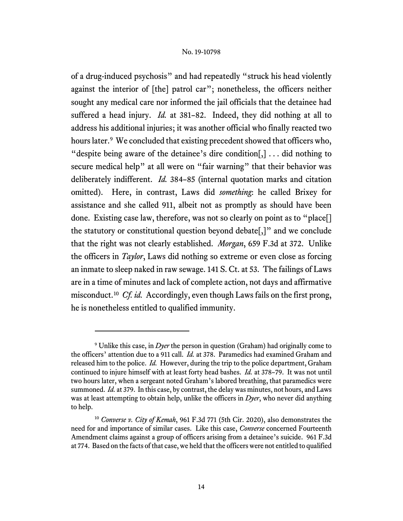of a drug-induced psychosis" and had repeatedly "struck his head violently against the interior of [the] patrol car"; nonetheless, the officers neither sought any medical care nor informed the jail officials that the detainee had suffered a head injury. *Id.* at 381–82. Indeed, they did nothing at all to address his additional injuries; it was another official who finally reacted two hours later.<sup>[9](#page-13-0)</sup> We concluded that existing precedent showed that officers who, "despite being aware of the detainee's dire condition[,] ... did nothing to secure medical help" at all were on "fair warning" that their behavior was deliberately indifferent. *Id.* 384–85 (internal quotation marks and citation omitted). Here, in contrast, Laws did *something*: he called Brixey for assistance and she called 911, albeit not as promptly as should have been done. Existing case law, therefore, was not so clearly on point as to "place<sup>[]</sup> the statutory or constitutional question beyond debate[,]" and we conclude that the right was not clearly established. *Morgan*, 659 F.3d at 372. Unlike the officers in *Taylor*, Laws did nothing so extreme or even close as forcing an inmate to sleep naked in raw sewage. 141 S. Ct. at 53. The failings of Laws are in a time of minutes and lack of complete action, not days and affirmative misconduct.[10](#page-13-1) *Cf. id.* Accordingly, even though Laws fails on the first prong, he is nonetheless entitled to qualified immunity.

<span id="page-13-0"></span><sup>9</sup> Unlike this case, in *Dyer* the person in question (Graham) had originally come to the officers' attention due to a 911 call. *Id.* at 378. Paramedics had examined Graham and released him to the police. *Id.* However, during the trip to the police department, Graham continued to injure himself with at least forty head bashes. *Id.* at 378–79. It was not until two hours later, when a sergeant noted Graham's labored breathing, that paramedics were summoned. *Id.* at 379. In this case, by contrast, the delay was minutes, not hours, and Laws was at least attempting to obtain help, unlike the officers in *Dyer*, who never did anything to help.

<span id="page-13-1"></span><sup>10</sup> *Converse v. City of Kemah*, 961 F.3d 771 (5th Cir. 2020), also demonstrates the need for and importance of similar cases. Like this case, *Converse* concerned Fourteenth Amendment claims against a group of officers arising from a detainee's suicide. 961 F.3d at 774. Based on the facts of that case, we held that the officers were not entitled to qualified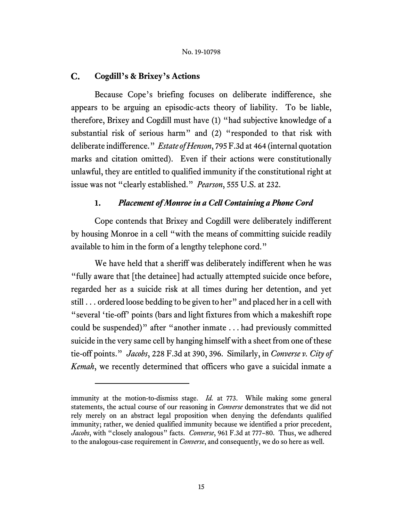#### $C_{\bullet}$ **Cogdill's & Brixey's Actions**

Because Cope's briefing focuses on deliberate indifference, she appears to be arguing an episodic-acts theory of liability. To be liable, therefore, Brixey and Cogdill must have (1) "had subjective knowledge of a substantial risk of serious harm" and (2) "responded to that risk with deliberate indifference." *Estate of Henson*, 795 F.3d at 464 (internal quotation marks and citation omitted). Even if their actions were constitutionally unlawful, they are entitled to qualified immunity if the constitutional right at issue was not "clearly established." *Pearson*, 555 U.S. at 232.

# **1.** *Placement of Monroe in a Cell Containing a Phone Cord*

Cope contends that Brixey and Cogdill were deliberately indifferent by housing Monroe in a cell "with the means of committing suicide readily available to him in the form of a lengthy telephone cord."

We have held that a sheriff was deliberately indifferent when he was "fully aware that [the detainee] had actually attempted suicide once before, regarded her as a suicide risk at all times during her detention, and yet still . . . ordered loose bedding to be given to her" and placed her in a cell with "several 'tie-off' points (bars and light fixtures from which a makeshift rope could be suspended)" after "another inmate . . . had previously committed suicide in the very same cell by hanging himself with a sheet from one of these tie-off points." *Jacobs*, 228 F.3d at 390, 396. Similarly, in *Converse v. City of Kemah*, we recently determined that officers who gave a suicidal inmate a

immunity at the motion-to-dismiss stage. *Id.* at 773. While making some general statements, the actual course of our reasoning in *Converse* demonstrates that we did not rely merely on an abstract legal proposition when denying the defendants qualified immunity; rather, we denied qualified immunity because we identified a prior precedent, *Jacobs*, with "closely analogous" facts. *Converse*, 961 F.3d at 777–80. Thus, we adhered to the analogous-case requirement in *Converse*, and consequently, we do so here as well.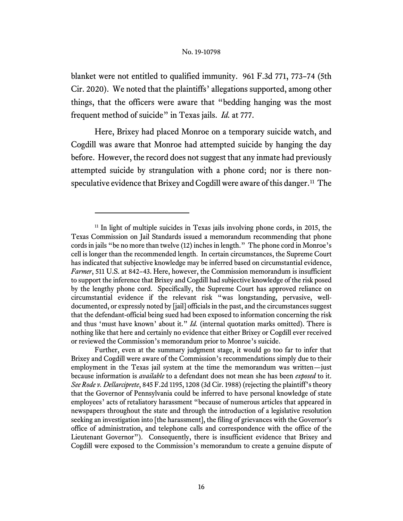blanket were not entitled to qualified immunity. 961 F.3d 771, 773–74 (5th Cir. 2020). We noted that the plaintiffs' allegations supported, among other things, that the officers were aware that "bedding hanging was the most frequent method of suicide" in Texas jails. *Id.* at 777.

Here, Brixey had placed Monroe on a temporary suicide watch, and Cogdill was aware that Monroe had attempted suicide by hanging the day before. However, the record does not suggest that any inmate had previously attempted suicide by strangulation with a phone cord; nor is there nonspeculative evidence that Brixey and Cogdill were aware of this danger.<sup>11</sup> The

<span id="page-15-0"></span><sup>&</sup>lt;sup>11</sup> In light of multiple suicides in Texas jails involving phone cords, in 2015, the Texas Commission on Jail Standards issued a memorandum recommending that phone cords in jails "be no more than twelve (12) inches in length." The phone cord in Monroe's cell is longer than the recommended length. In certain circumstances, the Supreme Court has indicated that subjective knowledge may be inferred based on circumstantial evidence, *Farmer*, 511 U.S. at 842–43. Here, however, the Commission memorandum is insufficient to support the inference that Brixey and Cogdill had subjective knowledge of the risk posed by the lengthy phone cord. Specifically, the Supreme Court has approved reliance on circumstantial evidence if the relevant risk "was longstanding, pervasive, welldocumented, or expressly noted by [jail] officials in the past, and the circumstances suggest that the defendant-official being sued had been exposed to information concerning the risk and thus 'must have known' about it." *Id.* (internal quotation marks omitted). There is nothing like that here and certainly no evidence that either Brixey or Cogdill ever received or reviewed the Commission's memorandum prior to Monroe's suicide.

Further, even at the summary judgment stage, it would go too far to infer that Brixey and Cogdill were aware of the Commission's recommendations simply due to their employment in the Texas jail system at the time the memorandum was written—just because information is *available* to a defendant does not mean she has been *exposed* to it. *See Rode v. Dellarciprete*, 845 F.2d 1195, 1208 (3d Cir. 1988) (rejecting the plaintiff's theory that the Governor of Pennsylvania could be inferred to have personal knowledge of state employees' acts of retaliatory harassment "because of numerous articles that appeared in newspapers throughout the state and through the introduction of a legislative resolution seeking an investigation into [the harassment], the filing of grievances with the Governor's office of administration, and telephone calls and correspondence with the office of the Lieutenant Governor"). Consequently, there is insufficient evidence that Brixey and Cogdill were exposed to the Commission's memorandum to create a genuine dispute of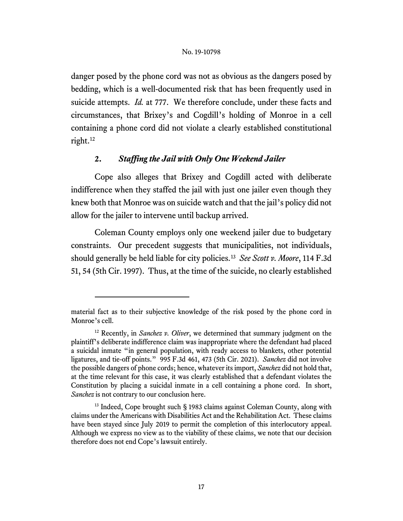danger posed by the phone cord was not as obvious as the dangers posed by bedding, which is a well-documented risk that has been frequently used in suicide attempts. *Id.* at 777. We therefore conclude, under these facts and circumstances, that Brixey's and Cogdill's holding of Monroe in a cell containing a phone cord did not violate a clearly established constitutional right. [12](#page-16-0)

# **2.** *Staffing the Jail with Only One Weekend Jailer*

Cope also alleges that Brixey and Cogdill acted with deliberate indifference when they staffed the jail with just one jailer even though they knew both that Monroe was on suicide watch and that the jail's policy did not allow for the jailer to intervene until backup arrived.

Coleman County employs only one weekend jailer due to budgetary constraints. Our precedent suggests that municipalities, not individuals, should generally be held liable for city policies.[13](#page-16-1) *See Scott v. Moore*, 114 F.3d 51, 54 (5th Cir. 1997). Thus, at the time of the suicide, no clearly established

material fact as to their subjective knowledge of the risk posed by the phone cord in Monroe's cell.

<span id="page-16-0"></span><sup>12</sup> Recently, in *Sanchez v. Oliver*, we determined that summary judgment on the plaintiff's deliberate indifference claim was inappropriate where the defendant had placed a suicidal inmate "in general population, with ready access to blankets, other potential ligatures, and tie-off points." 995 F.3d 461, 473 (5th Cir. 2021). *Sanchez* did not involve the possible dangers of phone cords; hence, whatever its import, *Sanchez* did not hold that, at the time relevant for this case, it was clearly established that a defendant violates the Constitution by placing a suicidal inmate in a cell containing a phone cord. In short, *Sanchez* is not contrary to our conclusion here.

<span id="page-16-1"></span><sup>&</sup>lt;sup>13</sup> Indeed, Cope brought such § 1983 claims against Coleman County, along with claims under the Americans with Disabilities Act and the Rehabilitation Act. These claims have been stayed since July 2019 to permit the completion of this interlocutory appeal. Although we express no view as to the viability of these claims, we note that our decision therefore does not end Cope's lawsuit entirely.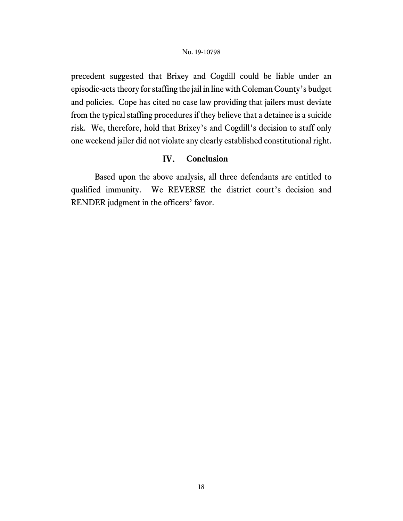precedent suggested that Brixey and Cogdill could be liable under an episodic-acts theory for staffing the jail in line with Coleman County's budget and policies. Cope has cited no case law providing that jailers must deviate from the typical staffing procedures if they believe that a detainee is a suicide risk. We, therefore, hold that Brixey's and Cogdill's decision to staff only one weekend jailer did not violate any clearly established constitutional right.

#### IV. **Conclusion**

Based upon the above analysis, all three defendants are entitled to qualified immunity. We REVERSE the district court's decision and RENDER judgment in the officers' favor.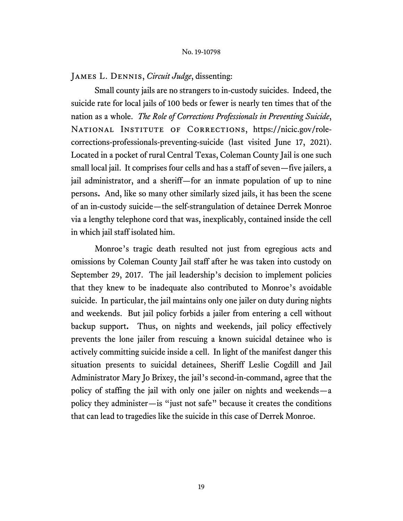# James L. Dennis, *Circuit Judge*, dissenting:

Small county jails are no strangers to in-custody suicides. Indeed, the suicide rate for local jails of 100 beds or fewer is nearly ten times that of the nation as a whole. *The Role of Corrections Professionals in Preventing Suicide*, NATIONAL INSTITUTE OF CORRECTIONS, https://nicic.gov/rolecorrections-professionals-preventing-suicide (last visited June 17, 2021). Located in a pocket of rural Central Texas, Coleman County Jail is one such small local jail. It comprises four cells and has a staff of seven—five jailers, a jail administrator, and a sheriff—for an inmate population of up to nine persons**.** And, like so many other similarly sized jails, it has been the scene of an in-custody suicide—the self-strangulation of detainee Derrek Monroe via a lengthy telephone cord that was, inexplicably, contained inside the cell in which jail staff isolated him.

Monroe's tragic death resulted not just from egregious acts and omissions by Coleman County Jail staff after he was taken into custody on September 29, 2017. The jail leadership's decision to implement policies that they knew to be inadequate also contributed to Monroe's avoidable suicide. In particular, the jail maintains only one jailer on duty during nights and weekends. But jail policy forbids a jailer from entering a cell without backup support**.** Thus, on nights and weekends, jail policy effectively prevents the lone jailer from rescuing a known suicidal detainee who is actively committing suicide inside a cell. In light of the manifest danger this situation presents to suicidal detainees, Sheriff Leslie Cogdill and Jail Administrator Mary Jo Brixey, the jail's second-in-command, agree that the policy of staffing the jail with only one jailer on nights and weekends—a policy they administer—is "just not safe" because it creates the conditions that can lead to tragedies like the suicide in this case of Derrek Monroe.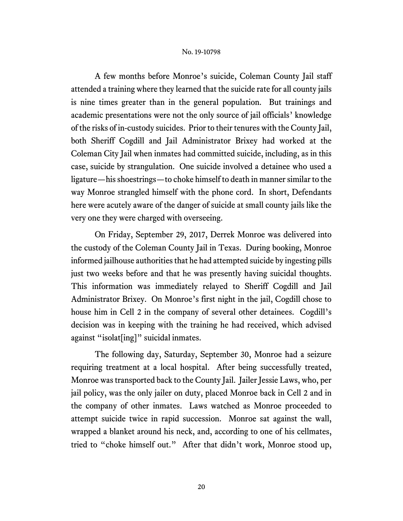A few months before Monroe's suicide, Coleman County Jail staff attended a training where they learned that the suicide rate for all county jails is nine times greater than in the general population. But trainings and academic presentations were not the only source of jail officials' knowledge of the risks of in-custody suicides. Prior to their tenures with the County Jail, both Sheriff Cogdill and Jail Administrator Brixey had worked at the Coleman City Jail when inmates had committed suicide, including, as in this case, suicide by strangulation. One suicide involved a detainee who used a ligature—his shoestrings—to choke himself to death in manner similar to the way Monroe strangled himself with the phone cord. In short, Defendants here were acutely aware of the danger of suicide at small county jails like the very one they were charged with overseeing.

On Friday, September 29, 2017, Derrek Monroe was delivered into the custody of the Coleman County Jail in Texas. During booking, Monroe informed jailhouse authorities that he had attempted suicide by ingesting pills just two weeks before and that he was presently having suicidal thoughts. This information was immediately relayed to Sheriff Cogdill and Jail Administrator Brixey. On Monroe's first night in the jail, Cogdill chose to house him in Cell 2 in the company of several other detainees. Cogdill's decision was in keeping with the training he had received, which advised against "isolat[ing]" suicidal inmates.

The following day, Saturday, September 30, Monroe had a seizure requiring treatment at a local hospital. After being successfully treated, Monroe was transported back to the County Jail. Jailer Jessie Laws, who, per jail policy, was the only jailer on duty, placed Monroe back in Cell 2 and in the company of other inmates. Laws watched as Monroe proceeded to attempt suicide twice in rapid succession. Monroe sat against the wall, wrapped a blanket around his neck, and, according to one of his cellmates, tried to "choke himself out." After that didn't work, Monroe stood up,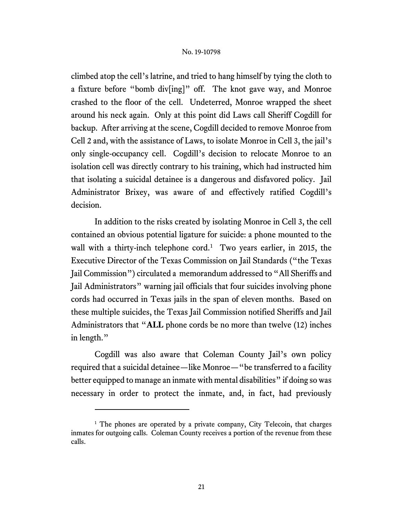climbed atop the cell's latrine, and tried to hang himself by tying the cloth to a fixture before "bomb div[ing]" off. The knot gave way, and Monroe crashed to the floor of the cell. Undeterred, Monroe wrapped the sheet around his neck again. Only at this point did Laws call Sheriff Cogdill for backup. After arriving at the scene, Cogdill decided to remove Monroe from Cell 2 and, with the assistance of Laws, to isolate Monroe in Cell 3, the jail's only single-occupancy cell. Cogdill's decision to relocate Monroe to an isolation cell was directly contrary to his training, which had instructed him that isolating a suicidal detainee is a dangerous and disfavored policy.Jail Administrator Brixey, was aware of and effectively ratified Cogdill's decision.

In addition to the risks created by isolating Monroe in Cell 3, the cell contained an obvious potential ligature for suicide: a phone mounted to the wall with a thirty-inch telephone cord.<sup>[1](#page-20-0)</sup> Two years earlier, in 2015, the Executive Director of the Texas Commission on Jail Standards ("the Texas Jail Commission") circulated a memorandum addressed to "All Sheriffs and Jail Administrators" warning jail officials that four suicides involving phone cords had occurred in Texas jails in the span of eleven months. Based on these multiple suicides, the Texas Jail Commission notified Sheriffs and Jail Administrators that "**ALL** phone cords be no more than twelve (12) inches in length."

Cogdill was also aware that Coleman County Jail's own policy required that a suicidal detainee—like Monroe—"be transferred to a facility better equipped to manage an inmate with mental disabilities" if doing so was necessary in order to protect the inmate, and, in fact, had previously

<span id="page-20-0"></span><sup>&</sup>lt;sup>1</sup> The phones are operated by a private company, City Telecoin, that charges inmates for outgoing calls. Coleman County receives a portion of the revenue from these calls.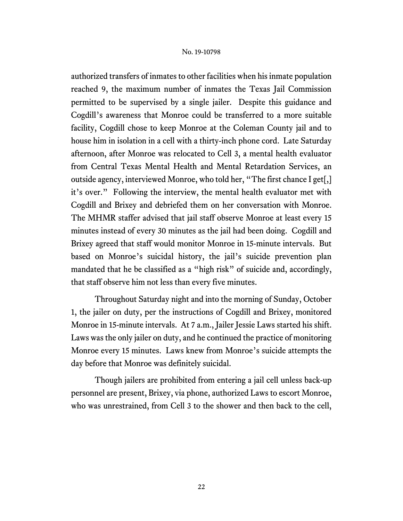authorized transfers of inmates to other facilities when his inmate population reached 9, the maximum number of inmates the Texas Jail Commission permitted to be supervised by a single jailer. Despite this guidance and Cogdill's awareness that Monroe could be transferred to a more suitable facility, Cogdill chose to keep Monroe at the Coleman County jail and to house him in isolation in a cell with a thirty-inch phone cord. Late Saturday afternoon, after Monroe was relocated to Cell 3, a mental health evaluator from Central Texas Mental Health and Mental Retardation Services, an outside agency, interviewed Monroe, who told her, "The first chance I get[,] it's over." Following the interview, the mental health evaluator met with Cogdill and Brixey and debriefed them on her conversation with Monroe. The MHMR staffer advised that jail staff observe Monroe at least every 15 minutes instead of every 30 minutes as the jail had been doing. Cogdill and Brixey agreed that staff would monitor Monroe in 15-minute intervals. But based on Monroe's suicidal history, the jail's suicide prevention plan mandated that he be classified as a "high risk" of suicide and, accordingly, that staff observe him not less than every five minutes.

Throughout Saturday night and into the morning of Sunday, October 1, the jailer on duty, per the instructions of Cogdill and Brixey, monitored Monroe in 15-minute intervals. At 7 a.m., Jailer Jessie Laws started his shift. Laws was the only jailer on duty, and he continued the practice of monitoring Monroe every 15 minutes. Laws knew from Monroe's suicide attempts the day before that Monroe was definitely suicidal.

Though jailers are prohibited from entering a jail cell unless back-up personnel are present, Brixey, via phone, authorized Laws to escort Monroe, who was unrestrained, from Cell 3 to the shower and then back to the cell,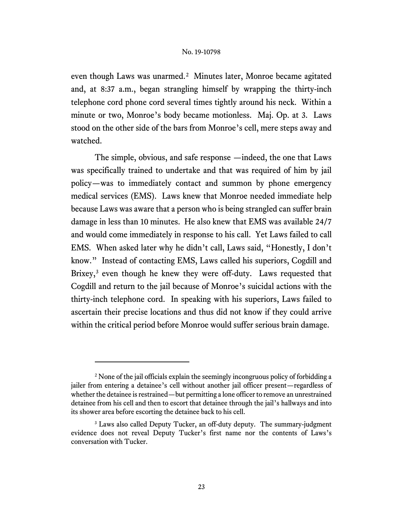even though Laws was unarmed.<sup>2</sup> Minutes later, Monroe became agitated and, at 8:37 a.m., began strangling himself by wrapping the thirty-inch telephone cord phone cord several times tightly around his neck. Within a minute or two, Monroe's body became motionless. Maj. Op. at 3. Laws stood on the other side of the bars from Monroe's cell, mere steps away and watched.

The simple, obvious, and safe response —indeed, the one that Laws was specifically trained to undertake and that was required of him by jail policy—was to immediately contact and summon by phone emergency medical services (EMS). Laws knew that Monroe needed immediate help because Laws was aware that a person who is being strangled can suffer brain damage in less than 10 minutes. He also knew that EMS was available 24/7 and would come immediately in response to his call.Yet Laws failed to call EMS. When asked later why he didn't call, Laws said, "Honestly, I don't know." Instead of contacting EMS, Laws called his superiors, Cogdill and Brixey,<sup>[3](#page-22-1)</sup> even though he knew they were off-duty. Laws requested that Cogdill and return to the jail because of Monroe's suicidal actions with the thirty-inch telephone cord. In speaking with his superiors, Laws failed to ascertain their precise locations and thus did not know if they could arrive within the critical period before Monroe would suffer serious brain damage.

<span id="page-22-0"></span><sup>&</sup>lt;sup>2</sup> None of the jail officials explain the seemingly incongruous policy of forbidding a jailer from entering a detainee's cell without another jail officer present—regardless of whether the detainee is restrained—but permitting a lone officer to remove an unrestrained detainee from his cell and then to escort that detainee through the jail's hallways and into its shower area before escorting the detainee back to his cell.

<span id="page-22-1"></span><sup>&</sup>lt;sup>3</sup> Laws also called Deputy Tucker, an off-duty deputy. The summary-judgment evidence does not reveal Deputy Tucker's first name nor the contents of Laws's conversation with Tucker.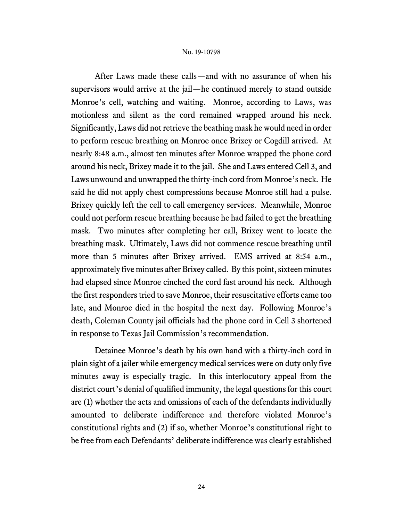After Laws made these calls—and with no assurance of when his supervisors would arrive at the jail—he continued merely to stand outside Monroe's cell, watching and waiting. Monroe, according to Laws, was motionless and silent as the cord remained wrapped around his neck. Significantly, Laws did not retrieve the beathing mask he would need in order to perform rescue breathing on Monroe once Brixey or Cogdill arrived. At nearly 8:48 a.m., almost ten minutes after Monroe wrapped the phone cord around his neck, Brixey made it to the jail. She and Laws entered Cell 3, and Laws unwound and unwrapped the thirty-inch cord from Monroe's neck. He said he did not apply chest compressions because Monroe still had a pulse. Brixey quickly left the cell to call emergency services. Meanwhile, Monroe could not perform rescue breathing because he had failed to get the breathing mask. Two minutes after completing her call, Brixey went to locate the breathing mask. Ultimately, Laws did not commence rescue breathing until more than 5 minutes after Brixey arrived. EMS arrived at 8:54 a.m., approximately five minutes after Brixey called. By this point, sixteen minutes had elapsed since Monroe cinched the cord fast around his neck. Although the first responders tried to save Monroe, their resuscitative efforts came too late, and Monroe died in the hospital the next day. Following Monroe's death, Coleman County jail officials had the phone cord in Cell 3 shortened in response to Texas Jail Commission's recommendation.

Detainee Monroe's death by his own hand with a thirty-inch cord in plain sight of a jailer while emergency medical services were on duty only five minutes away is especially tragic. In this interlocutory appeal from the district court's denial of qualified immunity, the legal questions for this court are (1) whether the acts and omissions of each of the defendants individually amounted to deliberate indifference and therefore violated Monroe's constitutional rights and (2) if so, whether Monroe's constitutional right to be free from each Defendants' deliberate indifference was clearly established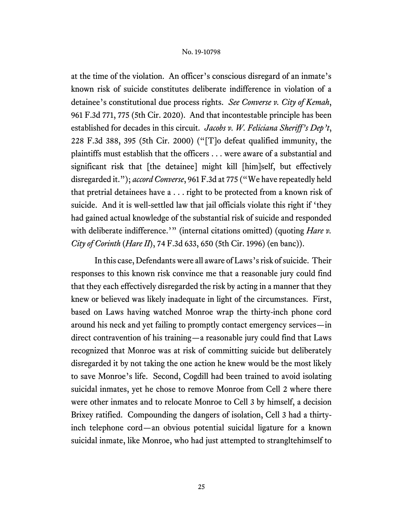at the time of the violation. An officer's conscious disregard of an inmate's known risk of suicide constitutes deliberate indifference in violation of a detainee's constitutional due process rights. *See Converse v. City of Kemah*, 961 F.3d 771, 775 (5th Cir. 2020). And that incontestable principle has been established for decades in this circuit. *Jacobs v. W. Feliciana Sheriff's Dep't*, 228 F.3d 388, 395 (5th Cir. 2000) ("[T]o defeat qualified immunity, the plaintiffs must establish that the officers . . . were aware of a substantial and significant risk that [the detainee] might kill [him]self, but effectively disregarded it."); *accord Converse*, 961 F.3d at 775 ("We have repeatedly held that pretrial detainees have a . . . right to be protected from a known risk of suicide. And it is well-settled law that jail officials violate this right if 'they had gained actual knowledge of the substantial risk of suicide and responded with deliberate indifference.'" (internal citations omitted) (quoting *Hare v*. *City of Corinth* (*Hare II*), 74 F.3d 633, 650 (5th Cir. 1996) (en banc)).

In this case, Defendants were all aware of Laws's risk of suicide. Their responses to this known risk convince me that a reasonable jury could find that they each effectively disregarded the risk by acting in a manner that they knew or believed was likely inadequate in light of the circumstances. First, based on Laws having watched Monroe wrap the thirty-inch phone cord around his neck and yet failing to promptly contact emergency services—in direct contravention of his training—a reasonable jury could find that Laws recognized that Monroe was at risk of committing suicide but deliberately disregarded it by not taking the one action he knew would be the most likely to save Monroe's life. Second, Cogdill had been trained to avoid isolating suicidal inmates, yet he chose to remove Monroe from Cell 2 where there were other inmates and to relocate Monroe to Cell 3 by himself, a decision Brixey ratified. Compounding the dangers of isolation, Cell 3 had a thirtyinch telephone cord—an obvious potential suicidal ligature for a known suicidal inmate, like Monroe, who had just attempted to strangltehimself to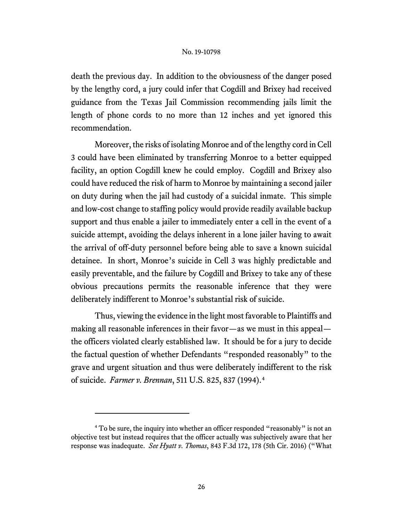death the previous day. In addition to the obviousness of the danger posed by the lengthy cord, a jury could infer that Cogdill and Brixey had received guidance from the Texas Jail Commission recommending jails limit the length of phone cords to no more than 12 inches and yet ignored this recommendation.

Moreover, the risks of isolating Monroe and of the lengthy cord in Cell 3 could have been eliminated by transferring Monroe to a better equipped facility, an option Cogdill knew he could employ. Cogdill and Brixey also could have reduced the risk of harm to Monroe by maintaining a second jailer on duty during when the jail had custody of a suicidal inmate. This simple and low-cost change to staffing policy would provide readily available backup support and thus enable a jailer to immediately enter a cell in the event of a suicide attempt, avoiding the delays inherent in a lone jailer having to await the arrival of off-duty personnel before being able to save a known suicidal detainee. In short, Monroe's suicide in Cell 3 was highly predictable and easily preventable, and the failure by Cogdill and Brixey to take any of these obvious precautions permits the reasonable inference that they were deliberately indifferent to Monroe's substantial risk of suicide.

Thus, viewing the evidence in the light most favorable to Plaintiffs and making all reasonable inferences in their favor—as we must in this appeal the officers violated clearly established law. It should be for a jury to decide the factual question of whether Defendants "responded reasonably" to the grave and urgent situation and thus were deliberately indifferent to the risk of suicide. *Farmer v. Brennan*, 511 U.S. 825, 837 (1994).[4](#page-25-0)

<span id="page-25-0"></span><sup>&</sup>lt;sup>4</sup> To be sure, the inquiry into whether an officer responded "reasonably" is not an objective test but instead requires that the officer actually was subjectively aware that her response was inadequate. *See Hyatt v. Thomas*, 843 F.3d 172, 178 (5th Cir. 2016) ("What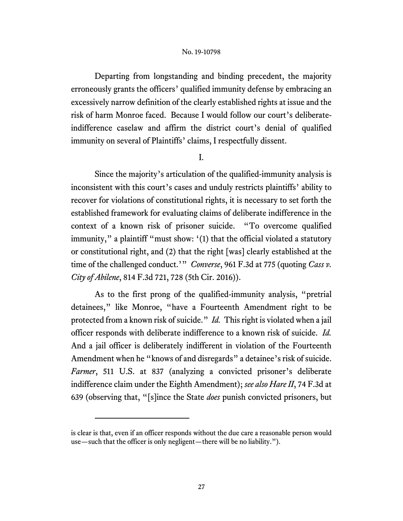Departing from longstanding and binding precedent, the majority erroneously grants the officers' qualified immunity defense by embracing an excessively narrow definition of the clearly established rights at issue and the risk of harm Monroe faced. Because I would follow our court's deliberateindifference caselaw and affirm the district court's denial of qualified immunity on several of Plaintiffs' claims, I respectfully dissent.

I.

Since the majority's articulation of the qualified-immunity analysis is inconsistent with this court's cases and unduly restricts plaintiffs' ability to recover for violations of constitutional rights, it is necessary to set forth the established framework for evaluating claims of deliberate indifference in the context of a known risk of prisoner suicide. "To overcome qualified immunity," a plaintiff "must show: '(1) that the official violated a statutory or constitutional right, and (2) that the right [was] clearly established at the time of the challenged conduct.'" *Converse*, 961 F.3d at 775 (quoting *Cass v. City of Abilene*, 814 F.3d 721, 728 (5th Cir. 2016)).

As to the first prong of the qualified-immunity analysis, "pretrial detainees," like Monroe, "have a Fourteenth Amendment right to be protected from a known risk of suicide." *Id.* This right is violated when a jail officer responds with deliberate indifference to a known risk of suicide. *Id.*  And a jail officer is deliberately indifferent in violation of the Fourteenth Amendment when he "knows of and disregards" a detainee's risk of suicide. *Farmer*, 511 U.S. at 837 (analyzing a convicted prisoner's deliberate indifference claim under the Eighth Amendment); *see also Hare II*, 74 F.3d at 639 (observing that, "[s]ince the State *does* punish convicted prisoners, but

is clear is that, even if an officer responds without the due care a reasonable person would use—such that the officer is only negligent—there will be no liability.").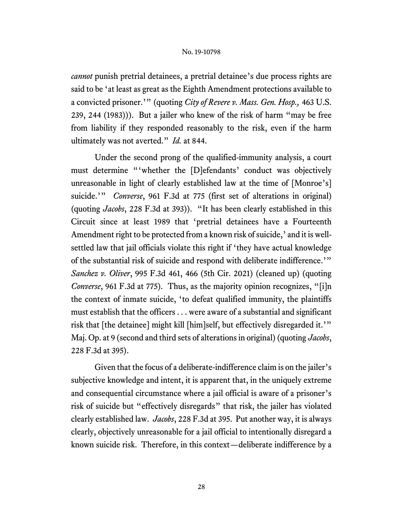*cannot* punish pretrial detainees, a pretrial detainee's due process rights are said to be 'at least as great as the Eighth Amendment protections available to a convicted prisoner.'" (quoting *City of Revere v. Mass. Gen. Hosp.,* 463 U.S. 239, 244 (1983))). But a jailer who knew of the risk of harm "may be free from liability if they responded reasonably to the risk, even if the harm ultimately was not averted." *Id.* at 844.

Under the second prong of the qualified-immunity analysis, a court must determine "'whether the [D]efendants' conduct was objectively unreasonable in light of clearly established law at the time of [Monroe's] suicide.'" *Converse*, 961 F.3d at 775 (first set of alterations in original) (quoting *Jacobs*, 228 F.3d at 393)). "It has been clearly established in this Circuit since at least 1989 that 'pretrial detainees have a Fourteenth Amendment right to be protected from a known risk of suicide,' and it is wellsettled law that jail officials violate this right if 'they have actual knowledge of the substantial risk of suicide and respond with deliberate indifference.'" *Sanchez v. Oliver*, 995 F.3d 461, 466 (5th Cir. 2021) (cleaned up) (quoting *Converse*, 961 F.3d at 775). Thus, as the majority opinion recognizes, "[i]n the context of inmate suicide, 'to defeat qualified immunity, the plaintiffs must establish that the officers . . . were aware of a substantial and significant risk that [the detainee] might kill [him]self, but effectively disregarded it.'" Maj. Op. at 9 (second and third sets of alterations in original) (quoting *Jacobs*, 228 F.3d at 395).

Given that the focus of a deliberate-indifference claim is on the jailer's subjective knowledge and intent, it is apparent that, in the uniquely extreme and consequential circumstance where a jail official is aware of a prisoner's risk of suicide but "effectively disregards" that risk, the jailer has violated clearly established law. *Jacobs*, 228 F.3d at 395. Put another way, it is always clearly, objectively unreasonable for a jail official to intentionally disregard a known suicide risk. Therefore, in this context—deliberate indifference by a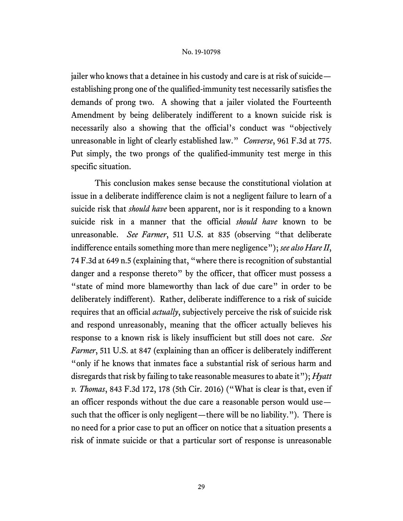jailer who knows that a detainee in his custody and care is at risk of suicide establishing prong one of the qualified-immunity test necessarily satisfies the demands of prong two. A showing that a jailer violated the Fourteenth Amendment by being deliberately indifferent to a known suicide risk is necessarily also a showing that the official's conduct was "objectively unreasonable in light of clearly established law." *Converse*, 961 F.3d at 775. Put simply, the two prongs of the qualified-immunity test merge in this specific situation.

This conclusion makes sense because the constitutional violation at issue in a deliberate indifference claim is not a negligent failure to learn of a suicide risk that *should have* been apparent, nor is it responding to a known suicide risk in a manner that the official *should have* known to be unreasonable. *See Farmer*, 511 U.S. at 835 (observing "that deliberate indifference entails something more than mere negligence"); *see also Hare II*, 74 F.3d at 649 n.5 (explaining that, "where there is recognition of substantial danger and a response thereto" by the officer, that officer must possess a "state of mind more blameworthy than lack of due care" in order to be deliberately indifferent). Rather, deliberate indifference to a risk of suicide requires that an official *actually*, subjectively perceive the risk of suicide risk and respond unreasonably, meaning that the officer actually believes his response to a known risk is likely insufficient but still does not care. *See Farmer*, 511 U.S. at 847 (explaining than an officer is deliberately indifferent "only if he knows that inmates face a substantial risk of serious harm and disregards that risk by failing to take reasonable measures to abate it"); *Hyatt v. Thomas*, 843 F.3d 172, 178 (5th Cir. 2016) ("What is clear is that, even if an officer responds without the due care a reasonable person would use such that the officer is only negligent—there will be no liability.").There is no need for a prior case to put an officer on notice that a situation presents a risk of inmate suicide or that a particular sort of response is unreasonable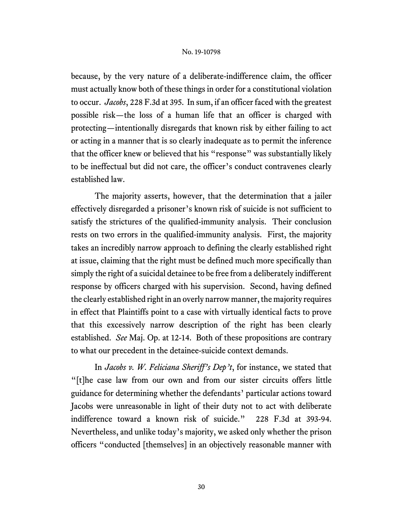because, by the very nature of a deliberate-indifference claim, the officer must actually know both of these things in order for a constitutional violation to occur. *Jacobs*, 228 F.3d at 395. In sum, if an officer faced with the greatest possible risk—the loss of a human life that an officer is charged with protecting—intentionally disregards that known risk by either failing to act or acting in a manner that is so clearly inadequate as to permit the inference that the officer knew or believed that his "response" was substantially likely to be ineffectual but did not care, the officer's conduct contravenes clearly established law.

The majority asserts, however, that the determination that a jailer effectively disregarded a prisoner's known risk of suicide is not sufficient to satisfy the strictures of the qualified-immunity analysis. Their conclusion rests on two errors in the qualified-immunity analysis. First, the majority takes an incredibly narrow approach to defining the clearly established right at issue, claiming that the right must be defined much more specifically than simply the right of a suicidal detainee to be free from a deliberately indifferent response by officers charged with his supervision. Second, having defined the clearly established right in an overly narrow manner, the majority requires in effect that Plaintiffs point to a case with virtually identical facts to prove that this excessively narrow description of the right has been clearly established. *See* Maj. Op. at 12-14. Both of these propositions are contrary to what our precedent in the detainee-suicide context demands.

In *Jacobs v. W. Feliciana Sheriff's Dep't*, for instance, we stated that "[t]he case law from our own and from our sister circuits offers little guidance for determining whether the defendants' particular actions toward Jacobs were unreasonable in light of their duty not to act with deliberate indifference toward a known risk of suicide." 228 F.3d at 393-94. Nevertheless, and unlike today's majority, we asked only whether the prison officers "conducted [themselves] in an objectively reasonable manner with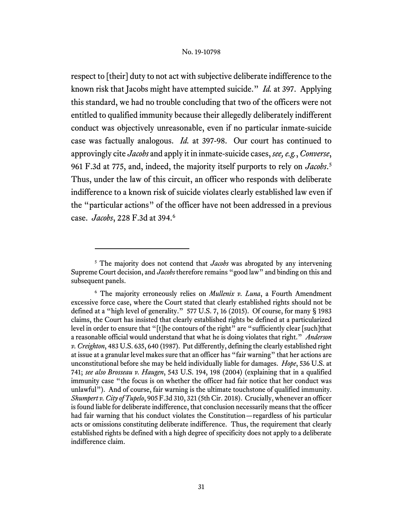respect to [their] duty to not act with subjective deliberate indifference to the known risk that Jacobs might have attempted suicide." *Id.* at 397. Applying this standard, we had no trouble concluding that two of the officers were not entitled to qualified immunity because their allegedly deliberately indifferent conduct was objectively unreasonable, even if no particular inmate-suicide case was factually analogous. *Id.* at 397-98. Our court has continued to approvingly cite *Jacobs* and apply it in inmate-suicide cases, *see, e.g.*, *Converse*, 961 F.3d at 775, and, indeed, the majority itself purports to rely on *Jacobs*. [5](#page-30-0) Thus, under the law of this circuit, an officer who responds with deliberate indifference to a known risk of suicide violates clearly established law even if the "particular actions" of the officer have not been addressed in a previous case. *Jacobs*, 228 F.3d at 394. [6](#page-30-1)

<span id="page-30-0"></span><sup>5</sup> The majority does not contend that *Jacobs* was abrogated by any intervening Supreme Court decision, and *Jacobs* therefore remains "good law" and binding on this and subsequent panels.

<span id="page-30-1"></span><sup>6</sup> The majority erroneously relies on *Mullenix v. Luna*, a Fourth Amendment excessive force case, where the Court stated that clearly established rights should not be defined at a "high level of generality." 577 U.S. 7, 16 (2015). Of course, for many § 1983 claims, the Court has insisted that clearly established rights be defined at a particularized level in order to ensure that "[t]he contours of the right" are "sufficiently clear [such]that a reasonable official would understand that what he is doing violates that right." *Anderson v.Creighton*, 483 U.S. 635, 640 (1987). Put differently, defining the clearly established right at issue at a granular level makes sure that an officer has "fair warning" that her actions are unconstitutional before she may be held individually liable for damages. *Hope*, 536 U.S. at 741; *see also Brosseau v. Haugen*, 543 U.S. 194, 198 (2004) (explaining that in a qualified immunity case "the focus is on whether the officer had fair notice that her conduct was unlawful"). And of course, fair warning is the ultimate touchstone of qualified immunity. *Shumpert v.City of Tupelo*, 905 F.3d 310, 321 (5th Cir. 2018). Crucially, whenever an officer is found liable for deliberate indifference, that conclusion necessarily means that the officer had fair warning that his conduct violates the Constitution—regardless of his particular acts or omissions constituting deliberate indifference. Thus, the requirement that clearly established rights be defined with a high degree of specificity does not apply to a deliberate indifference claim.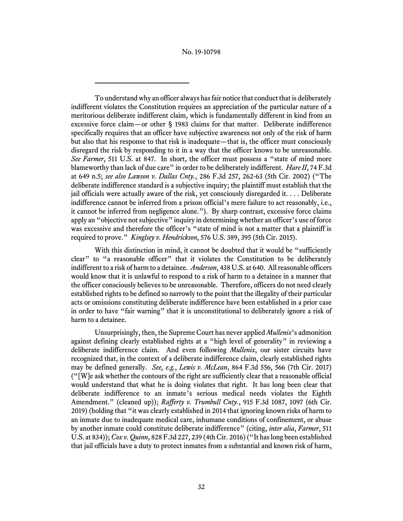To understand why an officer always has fair notice that conduct that is deliberately indifferent violates the Constitution requires an appreciation of the particular nature of a meritorious deliberate indifferent claim, which is fundamentally different in kind from an excessive force claim—or other § 1983 claims for that matter. Deliberate indifference specifically requires that an officer have subjective awareness not only of the risk of harm but also that his response to that risk is inadequate—that is, the officer must consciously disregard the risk by responding to it in a way that the officer knows to be unreasonable. *See Farmer*, 511 U.S. at 847. In short, the officer must possess a "state of mind more blameworthy than lack of due care" in order to be deliberately indifferent. *Hare II*, 74 F.3d at 649 n.5; *see also Lawson v. Dallas Cnty.*, 286 F.3d 257, 262-63 (5th Cir. 2002) ("The deliberate indifference standard is a subjective inquiry; the plaintiff must establish that the jail officials were actually aware of the risk, yet consciously disregarded it. . . . Deliberate indifference cannot be inferred from a prison official's mere failure to act reasonably, i.e., it cannot be inferred from negligence alone."). By sharp contrast, excessive force claims apply an "objective not subjective" inquiry in determining whether an officer's use of force was excessive and therefore the officer's "state of mind is not a matter that a plaintiff is required to prove." *Kinglsey v. Hendrickson*, 576 U.S. 389, 395 (5th Cir. 2015).

With this distinction in mind, it cannot be doubted that it would be "sufficiently clear" to "a reasonable officer" that it violates the Constitution to be deliberately indifferent to a risk of harm to a detainee. *Anderson*, 438 U.S. at 640. All reasonable officers would know that it is unlawful to respond to a risk of harm to a detainee in a manner that the officer consciously believes to be unreasonable. Therefore, officers do not need clearly established rights to be defined so narrowly to the point that the illegality of their particular acts or omissions constituting deliberate indifference have been established in a prior case in order to have "fair warning" that it is unconstitutional to deliberately ignore a risk of harm to a detainee.

Unsurprisingly, then, the Supreme Court has never applied *Mullenix*'s admonition against defining clearly established rights at a "high level of generality" in reviewing a deliberate indifference claim. And even following *Mullenix*, our sister circuits have recognized that, in the context of a deliberate indifference claim, clearly established rights may be defined generally. *See, e.g.*, *Lewis v. McLean*, 864 F.3d 556, 566 (7th Cir. 2017) ("[W]e ask whether the contours of the right are sufficiently clear that a reasonable official would understand that what he is doing violates that right. It has long been clear that deliberate indifference to an inmate's serious medical needs violates the Eighth Amendment." (cleaned up)); *Rafferty v. Trumbull Cnty.*, 915 F.3d 1087, 1097 (6th Cir. 2019) (holding that "it was clearly established in 2014 that ignoring known risks of harm to an inmate due to inadequate medical care, inhumane conditions of confinement, or abuse by another inmate could constitute deliberate indifference" (citing, *inter alia*, *Farmer*, 511 U.S. at 834)); *Cox v. Quinn*, 828 F.3d 227, 239 (4th Cir. 2016) ("It has long been established that jail officials have a duty to protect inmates from a substantial and known risk of harm,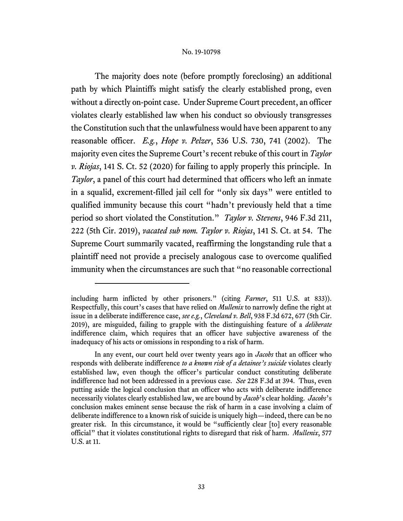The majority does note (before promptly foreclosing) an additional path by which Plaintiffs might satisfy the clearly established prong, even without a directly on-point case. Under Supreme Court precedent, an officer violates clearly established law when his conduct so obviously transgresses the Constitution such that the unlawfulness would have been apparent to any reasonable officer. *E.g.*, *Hope v. Pelzer*, 536 U.S. 730, 741 (2002). The majority even cites the Supreme Court's recent rebuke of this court in *Taylor v. Riojas*, 141 S. Ct. 52 (2020) for failing to apply properly this principle. In *Taylor*, a panel of this court had determined that officers who left an inmate in a squalid, excrement-filled jail cell for "only six days" were entitled to qualified immunity because this court "hadn't previously held that a time period so short violated the Constitution." *Taylor v. Stevens*, 946 F.3d 211, 222 (5th Cir. 2019), *vacated sub nom. Taylor v. Riojas*, 141 S. Ct. at 54. The Supreme Court summarily vacated, reaffirming the longstanding rule that a plaintiff need not provide a precisely analogous case to overcome qualified immunity when the circumstances are such that "no reasonable correctional

including harm inflicted by other prisoners." (citing *Farmer*, 511 U.S. at 833)). Respectfully, this court's cases that have relied on *Mullenix* to narrowly define the right at issue in a deliberate indifference case, *see e.g.*, *Cleveland v. Bell*, 938 F.3d 672, 677 (5th Cir. 2019), are misguided, failing to grapple with the distinguishing feature of a *deliberate* indifference claim, which requires that an officer have subjective awareness of the inadequacy of his acts or omissions in responding to a risk of harm.

In any event, our court held over twenty years ago in *Jacobs* that an officer who responds with deliberate indifference *to a known risk of a detainee's suicide* violates clearly established law, even though the officer's particular conduct constituting deliberate indifference had not been addressed in a previous case. *See* 228 F.3d at 394. Thus, even putting aside the logical conclusion that an officer who acts with deliberate indifference necessarily violates clearly established law, we are bound by *Jacob*'s clear holding. *Jacobs*'s conclusion makes eminent sense because the risk of harm in a case involving a claim of deliberate indifference to a known risk of suicide is uniquely high—indeed, there can be no greater risk. In this circumstance, it would be "sufficiently clear [to] every reasonable official" that it violates constitutional rights to disregard that risk of harm. *Mullenix*, 577 U.S. at 11.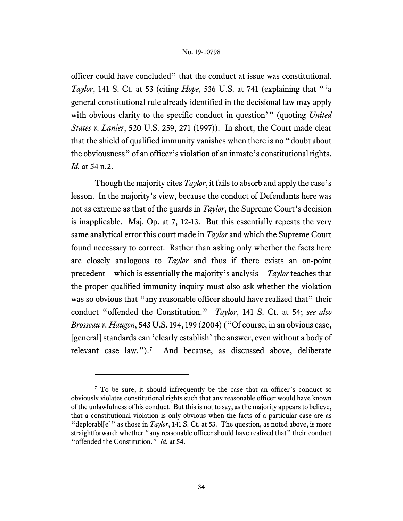officer could have concluded" that the conduct at issue was constitutional. *Taylor*, 141 S. Ct. at 53 (citing *Hope*, 536 U.S. at 741 (explaining that "'a general constitutional rule already identified in the decisional law may apply with obvious clarity to the specific conduct in question'" (quoting *United States v. Lanier*, 520 U.S. 259, 271 (1997)). In short, the Court made clear that the shield of qualified immunity vanishes when there is no "doubt about the obviousness" of an officer's violation of an inmate's constitutional rights. *Id.* at 54 n.2.

Though the majority cites *Taylor*, it fails to absorb and apply the case's lesson. In the majority's view, because the conduct of Defendants here was not as extreme as that of the guards in *Taylor*, the Supreme Court's decision is inapplicable. Maj. Op. at 7, 12-13. But this essentially repeats the very same analytical error this court made in *Taylor* and which the Supreme Court found necessary to correct. Rather than asking only whether the facts here are closely analogous to *Taylor* and thus if there exists an on-point precedent—which is essentially the majority's analysis—*Taylor* teaches that the proper qualified-immunity inquiry must also ask whether the violation was so obvious that "any reasonable officer should have realized that" their conduct "offended the Constitution." *Taylor*, 141 S. Ct. at 54; *see also Brosseau v. Haugen*, 543 U.S. 194, 199 (2004) ("Of course, in an obvious case, [general] standards can 'clearly establish' the answer, even without a body of relevant case law.").<sup>[7](#page-33-0)</sup> And because, as discussed above, deliberate

<span id="page-33-0"></span><sup>&</sup>lt;sup>7</sup> To be sure, it should infrequently be the case that an officer's conduct so obviously violates constitutional rights such that any reasonable officer would have known of the unlawfulness of his conduct. But this is not to say, as the majority appears to believe, that a constitutional violation is only obvious when the facts of a particular case are as "deplorabl $[e]$ " as those in *Taylor*, 141 S. Ct. at 53. The question, as noted above, is more straightforward: whether "any reasonable officer should have realized that" their conduct "offended the Constitution." *Id.* at 54.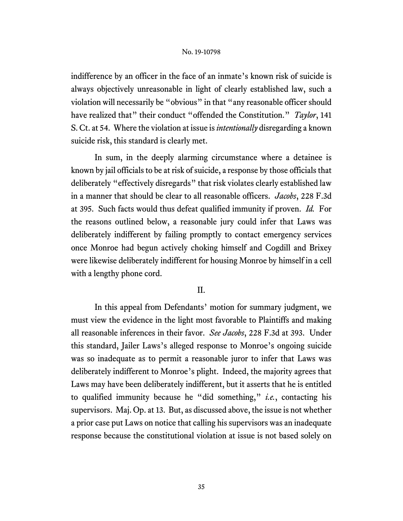indifference by an officer in the face of an inmate's known risk of suicide is always objectively unreasonable in light of clearly established law, such a violation will necessarily be "obvious" in that "any reasonable officer should have realized that" their conduct "offended the Constitution." *Taylor*, 141 S. Ct. at 54. Where the violation at issue is*intentionally* disregarding a known suicide risk, this standard is clearly met.

In sum, in the deeply alarming circumstance where a detainee is known by jail officials to be at risk of suicide, a response by those officials that deliberately "effectively disregards" that risk violates clearly established law in a manner that should be clear to all reasonable officers. *Jacobs*, 228 F.3d at 395. Such facts would thus defeat qualified immunity if proven. *Id.* For the reasons outlined below, a reasonable jury could infer that Laws was deliberately indifferent by failing promptly to contact emergency services once Monroe had begun actively choking himself and Cogdill and Brixey were likewise deliberately indifferent for housing Monroe by himself in a cell with a lengthy phone cord.

# II.

In this appeal from Defendants' motion for summary judgment, we must view the evidence in the light most favorable to Plaintiffs and making all reasonable inferences in their favor. *See Jacobs*, 228 F.3d at 393. Under this standard, Jailer Laws's alleged response to Monroe's ongoing suicide was so inadequate as to permit a reasonable juror to infer that Laws was deliberately indifferent to Monroe's plight. Indeed, the majority agrees that Laws may have been deliberately indifferent, but it asserts that he is entitled to qualified immunity because he "did something," *i.e.*, contacting his supervisors. Maj. Op. at 13. But, as discussed above, the issue is not whether a prior case put Laws on notice that calling his supervisors was an inadequate response because the constitutional violation at issue is not based solely on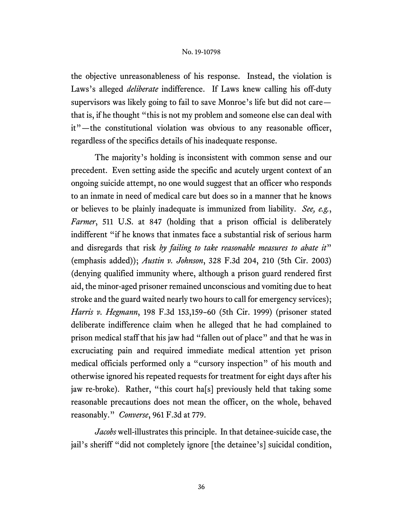the objective unreasonableness of his response. Instead, the violation is Laws's alleged *deliberate* indifference. If Laws knew calling his off-duty supervisors was likely going to fail to save Monroe's life but did not care that is, if he thought "this is not my problem and someone else can deal with it"—the constitutional violation was obvious to any reasonable officer, regardless of the specifics details of his inadequate response.

The majority's holding is inconsistent with common sense and our precedent. Even setting aside the specific and acutely urgent context of an ongoing suicide attempt, no one would suggest that an officer who responds to an inmate in need of medical care but does so in a manner that he knows or believes to be plainly inadequate is immunized from liability. *See, e.g.*, *Farmer*, 511 U.S. at 847 (holding that a prison official is deliberately indifferent "if he knows that inmates face a substantial risk of serious harm and disregards that risk *by failing to take reasonable measures to abate it*" (emphasis added)); *Austin v. Johnson*, 328 F.3d 204, 210 (5th Cir. 2003) (denying qualified immunity where, although a prison guard rendered first aid, the minor-aged prisoner remained unconscious and vomiting due to heat stroke and the guard waited nearly two hours to call for emergency services); *Harris v. Hegmann*, 198 F.3d 153,159–60 (5th Cir. 1999) (prisoner stated deliberate indifference claim when he alleged that he had complained to prison medical staff that his jaw had "fallen out of place" and that he was in excruciating pain and required immediate medical attention yet prison medical officials performed only a "cursory inspection" of his mouth and otherwise ignored his repeated requests for treatment for eight days after his jaw re-broke). Rather, "this court ha[s] previously held that taking some reasonable precautions does not mean the officer, on the whole, behaved reasonably." *Converse*, 961 F.3d at 779.

*Jacobs* well-illustrates this principle. In that detainee-suicide case, the jail's sheriff "did not completely ignore [the detainee's] suicidal condition,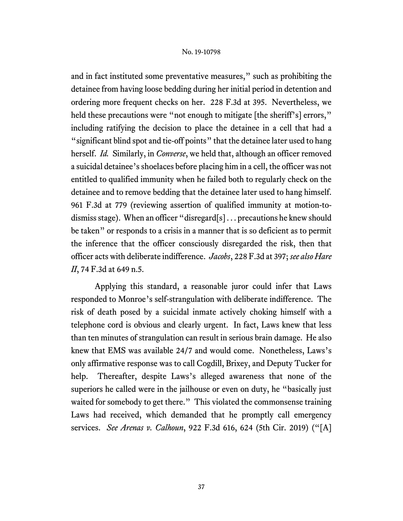and in fact instituted some preventative measures," such as prohibiting the detainee from having loose bedding during her initial period in detention and ordering more frequent checks on her. 228 F.3d at 395. Nevertheless, we held these precautions were "not enough to mitigate [the sheriff's] errors," including ratifying the decision to place the detainee in a cell that had a "significant blind spot and tie-off points" that the detainee later used to hang herself. *Id.* Similarly, in *Converse*, we held that, although an officer removed a suicidal detainee's shoelaces before placing him in a cell, the officer was not entitled to qualified immunity when he failed both to regularly check on the detainee and to remove bedding that the detainee later used to hang himself. 961 F.3d at 779 (reviewing assertion of qualified immunity at motion-todismiss stage). When an officer "disregard[s] . . . precautions he knew should be taken" or responds to a crisis in a manner that is so deficient as to permit the inference that the officer consciously disregarded the risk, then that officer acts with deliberate indifference. *Jacobs*, 228 F.3d at 397; *see also Hare II*, 74 F.3d at 649 n.5.

Applying this standard, a reasonable juror could infer that Laws responded to Monroe's self-strangulation with deliberate indifference. The risk of death posed by a suicidal inmate actively choking himself with a telephone cord is obvious and clearly urgent. In fact, Laws knew that less than ten minutes of strangulation can result in serious brain damage. He also knew that EMS was available 24/7 and would come. Nonetheless, Laws's only affirmative response was to call Cogdill, Brixey, and Deputy Tucker for help. Thereafter, despite Laws's alleged awareness that none of the superiors he called were in the jailhouse or even on duty, he "basically just waited for somebody to get there." This violated the commonsense training Laws had received, which demanded that he promptly call emergency services. *See Arenas v. Calhoun*, 922 F.3d 616, 624 (5th Cir. 2019) ("[A]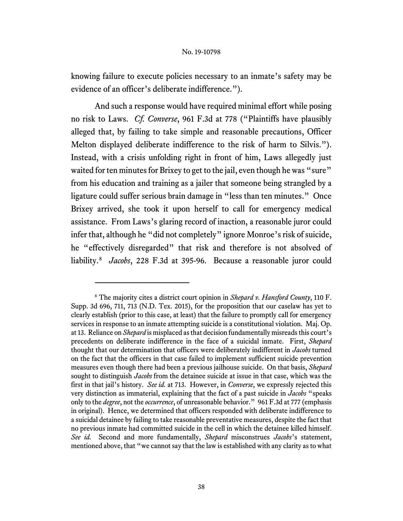knowing failure to execute policies necessary to an inmate's safety may be evidence of an officer's deliberate indifference.").

And such a response would have required minimal effort while posing no risk to Laws. *Cf. Converse*, 961 F.3d at 778 ("Plaintiffs have plausibly alleged that, by failing to take simple and reasonable precautions, Officer Melton displayed deliberate indifference to the risk of harm to Silvis."). Instead, with a crisis unfolding right in front of him, Laws allegedly just waited for ten minutes for Brixey to get to the jail, even though he was "sure" from his education and training as a jailer that someone being strangled by a ligature could suffer serious brain damage in "less than ten minutes." Once Brixey arrived, she took it upon herself to call for emergency medical assistance. From Laws's glaring record of inaction, a reasonable juror could infer that, although he "did not completely" ignore Monroe's risk of suicide, he "effectively disregarded" that risk and therefore is not absolved of liability.[8](#page-37-0) *Jacobs*, 228 F.3d at 395-96. Because a reasonable juror could

<span id="page-37-0"></span><sup>8</sup> The majority cites a district court opinion in *Shepard v. Hansford County*, 110 F. Supp. 3d 696, 711, 713 (N.D. Tex. 2015), for the proposition that our caselaw has yet to clearly establish (prior to this case, at least) that the failure to promptly call for emergency services in response to an inmate attempting suicide is a constitutional violation. Maj. Op. at 13. Reliance on *Shepard* is misplaced as that decision fundamentally misreads this court's precedents on deliberate indifference in the face of a suicidal inmate. First, *Shepard*  thought that our determination that officers were deliberately indifferent in *Jacobs* turned on the fact that the officers in that case failed to implement sufficient suicide prevention measures even though there had been a previous jailhouse suicide. On that basis, *Shepard*  sought to distinguish *Jacobs* from the detainee suicide at issue in that case, which was the first in that jail's history. *See id.* at 713. However, in *Converse*, we expressly rejected this very distinction as immaterial, explaining that the fact of a past suicide in *Jacobs* "speaks only to the *degree*, not the *occurrence*, of unreasonable behavior." 961 F.3d at 777 (emphasis in original). Hence, we determined that officers responded with deliberate indifference to a suicidal detainee by failing to take reasonable preventative measures, despite the fact that no previous inmate had committed suicide in the cell in which the detainee killed himself. *See id.* Second and more fundamentally, *Shepard* misconstrues *Jacobs*'s statement, mentioned above, that "we cannot say that the law is established with any clarity as to what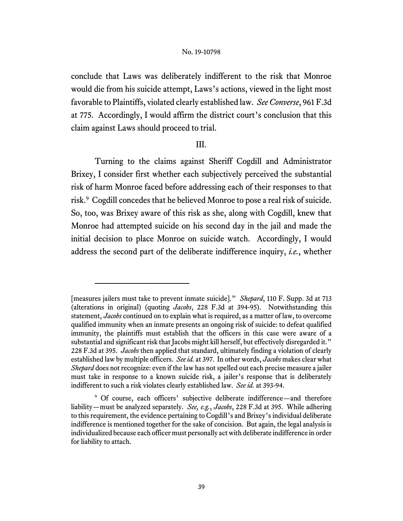conclude that Laws was deliberately indifferent to the risk that Monroe would die from his suicide attempt, Laws's actions, viewed in the light most favorable to Plaintiffs, violated clearly established law. *See Converse*, 961 F.3d at 775. Accordingly, I would affirm the district court's conclusion that this claim against Laws should proceed to trial.

# III.

Turning to the claims against Sheriff Cogdill and Administrator Brixey, I consider first whether each subjectively perceived the substantial risk of harm Monroe faced before addressing each of their responses to that risk.[9](#page-38-0) Cogdill concedes that he believed Monroe to pose a real risk of suicide. So, too, was Brixey aware of this risk as she, along with Cogdill, knew that Monroe had attempted suicide on his second day in the jail and made the initial decision to place Monroe on suicide watch. Accordingly, I would address the second part of the deliberate indifference inquiry, *i.e.*, whether

<sup>[</sup>measures jailers must take to prevent inmate suicide]." *Shepard*, 110 F. Supp. 3d at 713 (alterations in original) (quoting *Jacobs*, 228 F.3d at 394-95). Notwithstanding this statement, *Jacobs* continued on to explain what is required, as a matter of law, to overcome qualified immunity when an inmate presents an ongoing risk of suicide: to defeat qualified immunity, the plaintiffs must establish that the officers in this case were aware of a substantial and significant risk that Jacobs might kill herself, but effectively disregarded it." 228 F.3d at 395. *Jacobs* then applied that standard, ultimately finding a violation of clearly established law by multiple officers. *See id.* at 397. In other words, *Jacobs* makes clear what *Shepard* does not recognize: even if the law has not spelled out each precise measure a jailer must take in response to a known suicide risk, a jailer's response that is deliberately indifferent to such a risk violates clearly established law. *See id.* at 393-94.

<span id="page-38-0"></span><sup>9</sup> Of course, each officers' subjective deliberate indifference—and therefore liability—must be analyzed separately. *See, e.g.*, *Jacobs*, 228 F.3d at 395. While adhering to this requirement, the evidence pertaining to Cogdill's and Brixey's individual deliberate indifference is mentioned together for the sake of concision. But again, the legal analysis is individualized because each officer must personally act with deliberate indifference in order for liability to attach.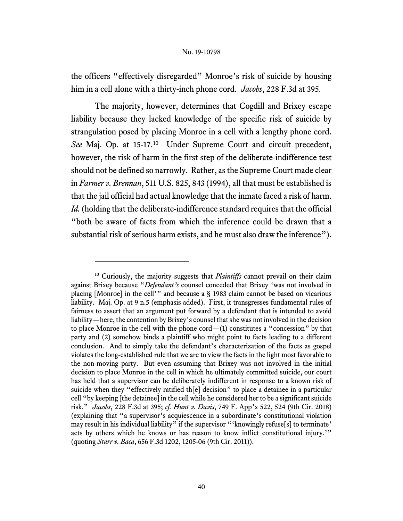the officers "effectively disregarded" Monroe's risk of suicide by housing him in a cell alone with a thirty-inch phone cord. *Jacobs*, 228 F.3d at 395.

The majority, however, determines that Cogdill and Brixey escape liability because they lacked knowledge of the specific risk of suicide by strangulation posed by placing Monroe in a cell with a lengthy phone cord. *See* Maj. Op. at 15-17.[10](#page-39-0) Under Supreme Court and circuit precedent, however, the risk of harm in the first step of the deliberate-indifference test should not be defined so narrowly. Rather, as the Supreme Court made clear in *Farmer v. Brennan*, 511 U.S. 825, 843 (1994), all that must be established is that the jail official had actual knowledge that the inmate faced a risk of harm. *Id.* (holding that the deliberate-indifference standard requires that the official "both be aware of facts from which the inference could be drawn that a substantial risk of serious harm exists, and he must also draw the inference").

<span id="page-39-0"></span><sup>&</sup>lt;sup>10</sup> Curiously, the majority suggests that *Plaintiffs* cannot prevail on their claim against Brixey because "*Defendant's* counsel conceded that Brixey 'was not involved in placing [Monroe] in the cell'" and because a § 1983 claim cannot be based on vicarious liability. Maj. Op. at 9 n.5 (emphasis added).First, it transgresses fundamental rules of fairness to assert that an argument put forward by a defendant that is intended to avoid liability—here, the contention by Brixey's counsel that she was not involved in the decision to place Monroe in the cell with the phone cord—(1) constitutes a "concession" by that party and (2) somehow binds a plaintiff who might point to facts leading to a different conclusion. And to simply take the defendant's characterization of the facts as gospel violates the long-established rule that we are to view the facts in the light most favorable to the non-moving party. But even assuming that Brixey was not involved in the initial decision to place Monroe in the cell in which he ultimately committed suicide, our court has held that a supervisor can be deliberately indifferent in response to a known risk of suicide when they "effectively ratified th[e] decision" to place a detainee in a particular cell "by keeping [the detainee] in the cell while he considered her to be a significant suicide risk." *Jacobs*, 228 F.3d at 395; *cf. Hunt v. Davis*, 749 F. App'x 522, 524 (9th Cir. 2018) (explaining that "a supervisor's acquiescence in a subordinate's constitutional violation may result in his individual liability" if the supervisor "'knowingly refuse[s] to terminate' acts by others which he knows or has reason to know inflict constitutional injury.'" (quoting *Starr v. Baca*, 656 F.3d 1202, 1205-06 (9th Cir. 2011)).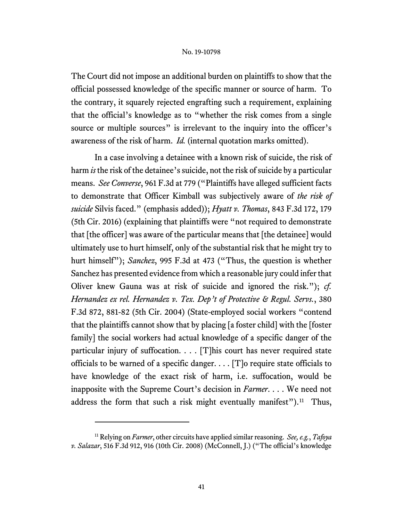The Court did not impose an additional burden on plaintiffs to show that the official possessed knowledge of the specific manner or source of harm. To the contrary, it squarely rejected engrafting such a requirement, explaining that the official's knowledge as to "whether the risk comes from a single source or multiple sources" is irrelevant to the inquiry into the officer's awareness of the risk of harm. *Id.* (internal quotation marks omitted).

In a case involving a detainee with a known risk of suicide, the risk of harm *is* the risk of the detainee's suicide, not the risk of suicide by a particular means. *See Converse*, 961 F.3d at 779 ("Plaintiffs have alleged sufficient facts to demonstrate that Officer Kimball was subjectively aware of *the risk of suicide* Silvis faced." (emphasis added)); *Hyatt v. Thomas*, 843 F.3d 172, 179 (5th Cir. 2016) (explaining that plaintiffs were "not required to demonstrate that [the officer] was aware of the particular means that [the detainee] would ultimately use to hurt himself, only of the substantial risk that he might try to hurt himself"); *Sanchez*, 995 F.3d at 473 ("Thus, the question is whether Sanchez has presented evidence from which a reasonable jury could inferthat Oliver knew Gauna was at risk of suicide and ignored the risk."); *cf. Hernandez ex rel. Hernandez v. Tex. Dep't of Protective & Regul. Servs.*, 380 F.3d 872, 881-82 (5th Cir. 2004) (State-employed social workers "contend that the plaintiffs cannot show that by placing [a foster child] with the [foster family] the social workers had actual knowledge of a specific danger of the particular injury of suffocation.  $\ldots$  [T] his court has never required state officials to be warned of a specific danger.  $\ldots$  [T] o require state officials to have knowledge of the exact risk of harm, i.e. suffocation, would be inapposite with the Supreme Court's decision in *Farmer*. . . . We need not address the form that such a risk might eventually manifest").<sup>11</sup> Thus,

<span id="page-40-0"></span><sup>11</sup> Relying on *Farmer*, other circuits have applied similar reasoning. *See, e.g.*, *Tafoya v. Salazar*, 516 F.3d 912, 916 (10th Cir. 2008) (McConnell, J.) ("The official's knowledge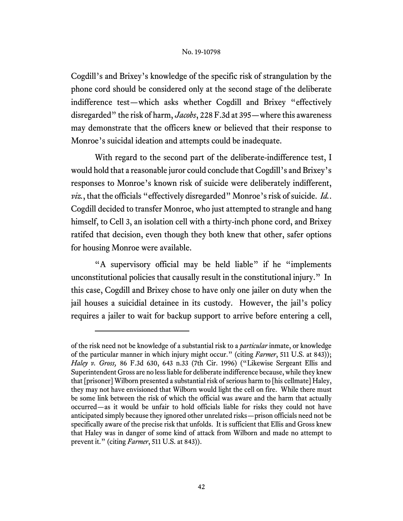Cogdill's and Brixey's knowledge of the specific risk of strangulation by the phone cord should be considered only at the second stage of the deliberate indifference test—which asks whether Cogdill and Brixey "effectively disregarded" the risk of harm, *Jacobs*, 228 F.3d at 395—where this awareness may demonstrate that the officers knew or believed that their response to Monroe's suicidal ideation and attempts could be inadequate.

With regard to the second part of the deliberate-indifference test, I would hold that a reasonable juror could conclude that Cogdill's and Brixey's responses to Monroe's known risk of suicide were deliberately indifferent, *viz.*, that the officials "effectively disregarded" Monroe's risk of suicide. *Id.*. Cogdill decided to transfer Monroe, who just attempted to strangle and hang himself, to Cell 3, an isolation cell with a thirty-inch phone cord, and Brixey ratifed that decision, even though they both knew that other, safer options for housing Monroe were available.

"A supervisory official may be held liable" if he "implements unconstitutional policies that causally result in the constitutional injury." In this case, Cogdill and Brixey chose to have only one jailer on duty when the jail houses a suicidial detainee in its custody. However, the jail's policy requires a jailer to wait for backup support to arrive before entering a cell,

of the risk need not be knowledge of a substantial risk to a *particular* inmate, or knowledge of the particular manner in which injury might occur." (citing *Farmer*, 511 U.S. at 843)); *Haley v. Gross,* 86 F.3d 630, 643 n.33 (7th Cir. 1996) ("Likewise Sergeant Ellis and Superintendent Gross are no less liable for deliberate indifference because, while they knew that [prisoner] Wilborn presented a substantial risk of serious harm to [his cellmate] Haley, they may not have envisioned that Wilborn would light the cell on fire. While there must be some link between the risk of which the official was aware and the harm that actually occurred—as it would be unfair to hold officials liable for risks they could not have anticipated simply because they ignored other unrelated risks—prison officials need not be specifically aware of the precise risk that unfolds. It is sufficient that Ellis and Gross knew that Haley was in danger of some kind of attack from Wilborn and made no attempt to prevent it." (citing *Farmer*, 511 U.S. at 843)).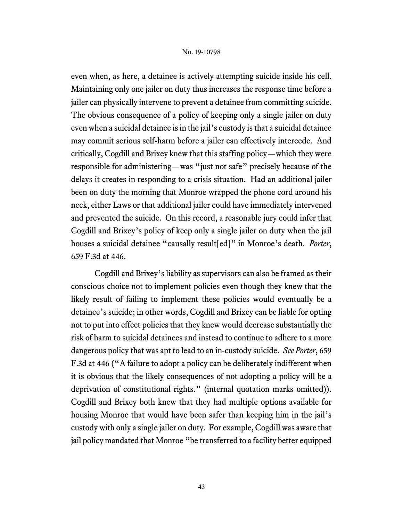even when, as here, a detainee is actively attempting suicide inside his cell. Maintaining only one jailer on duty thus increases the response time before a jailer can physically intervene to prevent a detainee from committing suicide. The obvious consequence of a policy of keeping only a single jailer on duty even when a suicidal detainee is in the jail's custody is that a suicidal detainee may commit serious self-harm before a jailer can effectively intercede. And critically, Cogdill and Brixey knew that this staffing policy—which they were responsible for administering—was "just not safe" precisely because of the delays it creates in responding to a crisis situation. Had an additional jailer been on duty the morning that Monroe wrapped the phone cord around his neck, either Laws or that additional jailer could have immediately intervened and prevented the suicide. On this record, a reasonable jury could infer that Cogdill and Brixey's policy of keep only a single jailer on duty when the jail houses a suicidal detainee "causally result[ed]" in Monroe's death. *Porter*, 659 F.3d at 446.

Cogdill and Brixey's liability as supervisors can also be framed as their conscious choice not to implement policies even though they knew that the likely result of failing to implement these policies would eventually be a detainee's suicide; in other words, Cogdill and Brixey can be liable for opting not to put into effect policies that they knew would decrease substantially the risk of harm to suicidal detainees and instead to continue to adhere to a more dangerous policy that was apt to lead to an in-custody suicide. *See Porter*, 659 F.3d at 446 ("A failure to adopt a policy can be deliberately indifferent when it is obvious that the likely consequences of not adopting a policy will be a deprivation of constitutional rights." (internal quotation marks omitted)). Cogdill and Brixey both knew that they had multiple options available for housing Monroe that would have been safer than keeping him in the jail's custody with only a single jailer on duty. For example, Cogdill was aware that jail policy mandated that Monroe "be transferred to a facility better equipped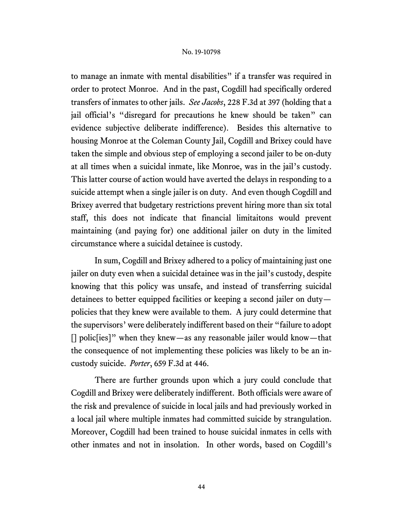to manage an inmate with mental disabilities" if a transfer was required in order to protect Monroe. And in the past, Cogdill had specifically ordered transfers of inmates to other jails. *See Jacobs*, 228 F.3d at 397 (holding that a jail official's "disregard for precautions he knew should be taken" can evidence subjective deliberate indifference). Besides this alternative to housing Monroe at the Coleman County Jail, Cogdill and Brixey could have taken the simple and obvious step of employing a second jailer to be on-duty at all times when a suicidal inmate, like Monroe, was in the jail's custody. This latter course of action would have averted the delays in responding to a suicide attempt when a single jailer is on duty. And even though Cogdill and Brixey averred that budgetary restrictions prevent hiring more than six total staff, this does not indicate that financial limitaitons would prevent maintaining (and paying for) one additional jailer on duty in the limited circumstance where a suicidal detainee is custody.

In sum, Cogdill and Brixey adhered to a policy of maintaining just one jailer on duty even when a suicidal detainee was in the jail's custody, despite knowing that this policy was unsafe, and instead of transferring suicidal detainees to better equipped facilities or keeping a second jailer on duty policies that they knew were available to them. A jury could determine that the supervisors' were deliberately indifferent based on their "failure to adopt [] polic[ies]" when they knew—as any reasonable jailer would know—that the consequence of not implementing these policies was likely to be an incustody suicide. *Porter*, 659 F.3d at 446.

There are further grounds upon which a jury could conclude that Cogdill and Brixey were deliberately indifferent. Both officials were aware of the risk and prevalence of suicide in local jails and had previously worked in a local jail where multiple inmates had committed suicide by strangulation. Moreover, Cogdill had been trained to house suicidal inmates in cells with other inmates and not in insolation. In other words, based on Cogdill's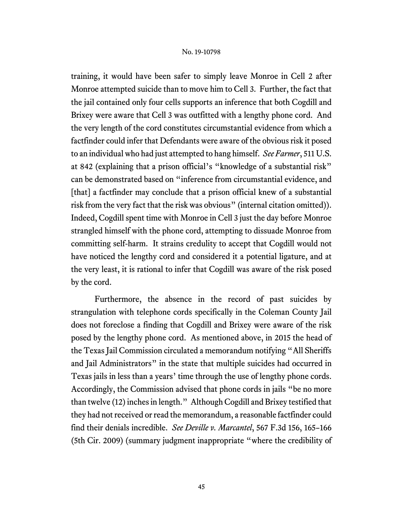training, it would have been safer to simply leave Monroe in Cell 2 after Monroe attempted suicide than to move him to Cell 3. Further, the fact that the jail contained only four cells supports an inference that both Cogdill and Brixey were aware that Cell 3 was outfitted with a lengthy phone cord. And the very length of the cord constitutes circumstantial evidence from which a factfinder could infer that Defendants were aware of the obvious risk it posed to an individual who had just attempted to hang himself. *See Farmer*, 511 U.S. at 842 (explaining that a prison official's "knowledge of a substantial risk" can be demonstrated based on "inference from circumstantial evidence, and [that] a factfinder may conclude that a prison official knew of a substantial risk from the very fact that the risk was obvious" (internal citation omitted)). Indeed, Cogdill spent time with Monroe in Cell 3 just the day before Monroe strangled himself with the phone cord, attempting to dissuade Monroe from committing self-harm. It strains credulity to accept that Cogdill would not have noticed the lengthy cord and considered it a potential ligature, and at the very least, it is rational to infer that Cogdill was aware of the risk posed by the cord.

Furthermore, the absence in the record of past suicides by strangulation with telephone cords specifically in the Coleman County Jail does not foreclose a finding that Cogdill and Brixey were aware of the risk posed by the lengthy phone cord. As mentioned above, in 2015 the head of the Texas Jail Commission circulated a memorandum notifying "All Sheriffs and Jail Administrators" in the state that multiple suicides had occurred in Texas jails in less than a years' time through the use of lengthy phone cords. Accordingly, the Commission advised that phone cords in jails "be no more than twelve (12) inches in length." Although Cogdill and Brixey testified that they had not received or read the memorandum, a reasonable factfinder could find their denials incredible. *See Deville v. Marcantel*, 567 F.3d 156, 165–166 (5th Cir. 2009) (summary judgment inappropriate "where the credibility of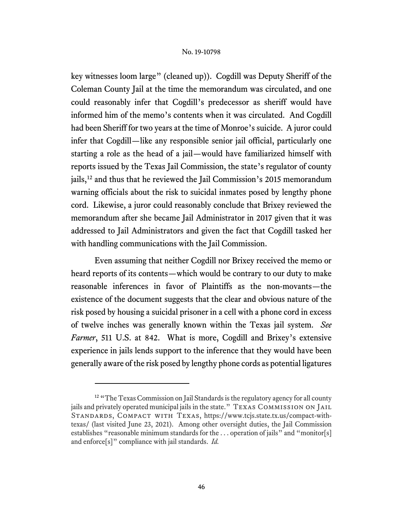key witnesses loom large" (cleaned up)). Cogdill was Deputy Sheriff of the Coleman County Jail at the time the memorandum was circulated, and one could reasonably infer that Cogdill's predecessor as sheriff would have informed him of the memo's contents when it was circulated. And Cogdill had been Sheriff for two years at the time of Monroe's suicide. A juror could infer that Cogdill—like any responsible senior jail official, particularly one starting a role as the head of a jail—would have familiarized himself with reports issued by the Texas Jail Commission, the state's regulator of county jails,[12](#page-45-0) and thus that he reviewed the Jail Commission's 2015 memorandum warning officials about the risk to suicidal inmates posed by lengthy phone cord. Likewise, a juror could reasonably conclude that Brixey reviewed the memorandum after she became Jail Administrator in 2017 given that it was addressed to Jail Administrators and given the fact that Cogdill tasked her with handling communications with the Jail Commission.

Even assuming that neither Cogdill nor Brixey received the memo or heard reports of its contents—which would be contrary to our duty to make reasonable inferences in favor of Plaintiffs as the non-movants—the existence of the document suggests that the clear and obvious nature of the risk posed by housing a suicidal prisoner in a cell with a phone cord in excess of twelve inches was generally known within the Texas jail system. *See Farmer*, 511 U.S. at 842. What is more, Cogdill and Brixey's extensive experience in jails lends support to the inference that they would have been generally aware of the risk posed by lengthy phone cords as potential ligatures

<span id="page-45-0"></span><sup>&</sup>lt;sup>12</sup> "The Texas Commission on Jail Standards is the regulatory agency for all county jails and privately operated municipal jails in the state." TEXAS COMMISSION ON JAIL Standards, Compact with Texas, https://www.tcjs.state.tx.us/compact-withtexas/ (last visited June 23, 2021). Among other oversight duties, the Jail Commission establishes "reasonable minimum standards for the ... operation of jails" and "monitor[s] and enforce[s]" compliance with jail standards. *Id.*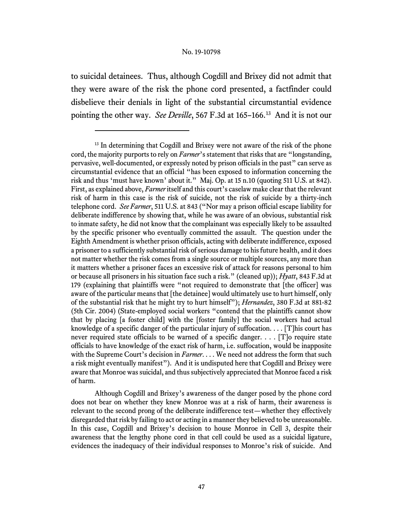to suicidal detainees. Thus, although Cogdill and Brixey did not admit that they were aware of the risk the phone cord presented, a factfinder could disbelieve their denials in light of the substantial circumstantial evidence pointing the other way. *See Deville*, 567 F.3d at 165–166. [13](#page-46-0) And it is not our

Although Cogdill and Brixey's awareness of the danger posed by the phone cord does not bear on whether they knew Monroe was at a risk of harm, their awareness is relevant to the second prong of the deliberate indifference test—whether they effectively disregarded that risk by failing to act or acting in a mannerthey believed to be unreasonable. In this case, Cogdill and Brixey's decision to house Monroe in Cell 3, despite their awareness that the lengthy phone cord in that cell could be used as a suicidal ligature, evidences the inadequacy of their individual responses to Monroe's risk of suicide. And

<span id="page-46-0"></span><sup>&</sup>lt;sup>13</sup> In determining that Cogdill and Brixey were not aware of the risk of the phone cord, the majority purports to rely on *Farmer*'s statement that risks that are "longstanding, pervasive, well-documented, or expressly noted by prison officials in the past" can serve as circumstantial evidence that an official "has been exposed to information concerning the risk and thus 'must have known' about it." Maj. Op. at 15 n.10 (quoting 511 U.S. at 842). First, as explained above, *Farmer* itself and this court's caselaw make clear that the relevant risk of harm in this case is the risk of suicide, not the risk of suicide by a thirty-inch telephone cord. *See Farmer*, 511 U.S. at 843 ("Nor may a prison official escape liability for deliberate indifference by showing that, while he was aware of an obvious, substantial risk to inmate safety, he did not know that the complainant was especially likely to be assaulted by the specific prisoner who eventually committed the assault. The question under the Eighth Amendment is whether prison officials, acting with deliberate indifference, exposed a prisoner to a sufficiently substantial risk of serious damage to his future health, and it does not matter whether the risk comes from a single source or multiple sources, any more than it matters whether a prisoner faces an excessive risk of attack for reasons personal to him or because all prisoners in his situation face such a risk." (cleaned up)); *Hyatt*, 843 F.3d at 179 (explaining that plaintiffs were "not required to demonstrate that [the officer] was aware of the particular means that [the detainee] would ultimately use to hurt himself, only of the substantial risk that he might try to hurt himself"); *Hernandez*, 380 F.3d at 881-82 (5th Cir. 2004) (State-employed social workers "contend that the plaintiffs cannot show that by placing [a foster child] with the [foster family] the social workers had actual knowledge of a specific danger of the particular injury of suffocation.  $\ldots$  [T]his court has never required state officials to be warned of a specific danger. . . . [T]o require state officials to have knowledge of the exact risk of harm, i.e. suffocation, would be inapposite with the Supreme Court's decision in *Farmer*. . . . We need not address the form that such a risk might eventually manifest"). And it is undisputed here that Cogdill and Brixey were aware that Monroe was suicidal, and thus subjectively appreciated that Monroe faced a risk of harm.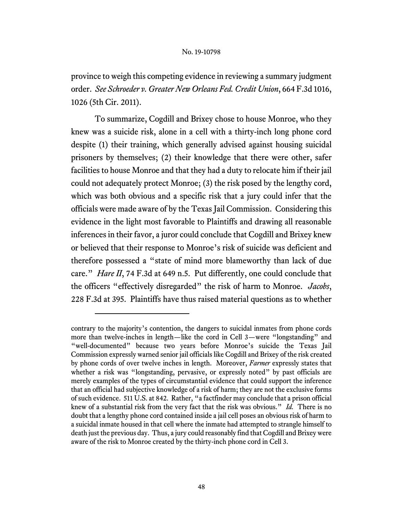province to weigh this competing evidence in reviewing a summary judgment order. *See Schroeder v. Greater New Orleans Fed. Credit Union*, 664 F.3d 1016, 1026 (5th Cir. 2011).

To summarize, Cogdill and Brixey chose to house Monroe, who they knew was a suicide risk, alone in a cell with a thirty-inch long phone cord despite (1) their training, which generally advised against housing suicidal prisoners by themselves; (2) their knowledge that there were other, safer facilities to house Monroe and that they had a duty to relocate him if their jail could not adequately protect Monroe; (3) the risk posed by the lengthy cord, which was both obvious and a specific risk that a jury could infer that the officials were made aware of by the Texas Jail Commission. Considering this evidence in the light most favorable to Plaintiffs and drawing all reasonable inferences in their favor, a juror could conclude that Cogdill and Brixey knew or believed that their response to Monroe's risk of suicide was deficient and therefore possessed a "state of mind more blameworthy than lack of due care." *Hare II*, 74 F.3d at 649 n.5. Put differently, one could conclude that the officers "effectively disregarded" the risk of harm to Monroe. *Jacobs*, 228 F.3d at 395. Plaintiffs have thus raised material questions as to whether

contrary to the majority's contention, the dangers to suicidal inmates from phone cords more than twelve-inches in length—like the cord in Cell 3—were "longstanding" and "well-documented" because two years before Monroe's suicide the Texas Jail Commission expressly warned senior jail officials like Cogdill and Brixey of the risk created by phone cords of over twelve inches in length. Moreover, *Farmer* expressly states that whether a risk was "longstanding, pervasive, or expressly noted" by past officials are merely examples of the types of circumstantial evidence that could support the inference that an official had subjective knowledge of a risk of harm; they are not the exclusive forms of such evidence. 511 U.S. at 842. Rather, "a factfinder may conclude that a prison official knew of a substantial risk from the very fact that the risk was obvious." *Id.* There is no doubt that a lengthy phone cord contained inside a jail cell poses an obvious risk of harm to a suicidal inmate housed in that cell where the inmate had attempted to strangle himself to death just the previous day. Thus, a jury could reasonably find that Cogdill and Brixey were aware of the risk to Monroe created by the thirty-inch phone cord in Cell 3.